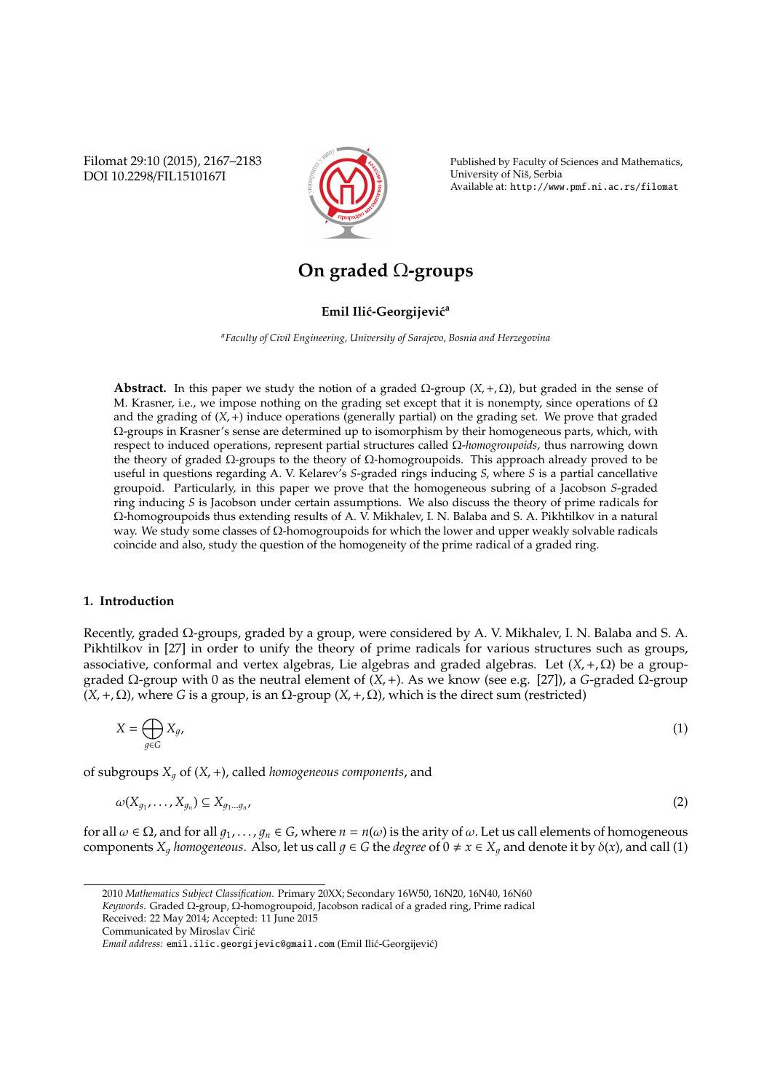Filomat 29:10 (2015), 2167–2183 DOI 10.2298/FIL1510167I



Published by Faculty of Sciences and Mathematics, University of Nis, Serbia ˇ Available at: http://www.pmf.ni.ac.rs/filomat

# **On graded** Ω**-groups**

# **Emil Ilić-Georgijević**<sup>a</sup>

*<sup>a</sup>Faculty of Civil Engineering, University of Sarajevo, Bosnia and Herzegovina*

**Abstract.** In this paper we study the notion of a graded  $\Omega$ -group  $(X, +, \Omega)$ , but graded in the sense of M. Krasner, i.e., we impose nothing on the grading set except that it is nonempty, since operations of  $\Omega$ and the grading of  $(X,+)$  induce operations (generally partial) on the grading set. We prove that graded Ω-groups in Krasner's sense are determined up to isomorphism by their homogeneous parts, which, with respect to induced operations, represent partial structures called Ω-*homogroupoids*, thus narrowing down the theory of graded  $Ω$ -groups to the theory of  $Ω$ -homogroupoids. This approach already proved to be useful in questions regarding A. V. Kelarev's *S*-graded rings inducing *S*, where *S* is a partial cancellative groupoid. Particularly, in this paper we prove that the homogeneous subring of a Jacobson *S*-graded ring inducing *S* is Jacobson under certain assumptions. We also discuss the theory of prime radicals for Ω-homogroupoids thus extending results of A. V. Mikhalev, I. N. Balaba and S. A. Pikhtilkov in a natural way. We study some classes of Ω-homogroupoids for which the lower and upper weakly solvable radicals coincide and also, study the question of the homogeneity of the prime radical of a graded ring.

## **1. Introduction**

Recently, graded Ω-groups, graded by a group, were considered by A. V. Mikhalev, I. N. Balaba and S. A. Pikhtilkov in [27] in order to unify the theory of prime radicals for various structures such as groups, associative, conformal and vertex algebras, Lie algebras and graded algebras. Let  $(X, +, \Omega)$  be a groupgraded  $Ω$ -group with 0 as the neutral element of  $(X,+)$ . As we know (see e.g. [27]), a *G*-graded  $Ω$ -group  $(X, +, \Omega)$ , where *G* is a group, is an  $\Omega$ -group  $(X, +, \Omega)$ , which is the direct sum (restricted)

$$
X = \bigoplus_{g \in G} X_g,\tag{1}
$$

of subgroups  $X_a$  of  $(X, +)$ , called *homogeneous components*, and

$$
\omega(X_{g_1},\ldots,X_{g_n})\subseteq X_{g_1\ldots g_n},\tag{2}
$$

for all  $\omega \in \Omega$ , and for all  $g_1, \ldots, g_n \in G$ , where  $n = n(\omega)$  is the arity of  $\omega$ . Let us call elements of homogeneous components  $X_q$  *homogeneous*. Also, let us call  $q \in G$  the *degree* of  $0 \neq x \in X_q$  and denote it by  $\delta(x)$ , and call (1)

<sup>2010</sup> *Mathematics Subject Classification*. Primary 20XX; Secondary 16W50, 16N20, 16N40, 16N60 *Keywords*. Graded Ω-group, Ω-homogroupoid, Jacobson radical of a graded ring, Prime radical Received: 22 May 2014; Accepted: 11 June 2015

Communicated by Miroslav Cirić

*Email address:* emil.ilic.georgijevic@gmail.com (Emil Ilić-Georgijević)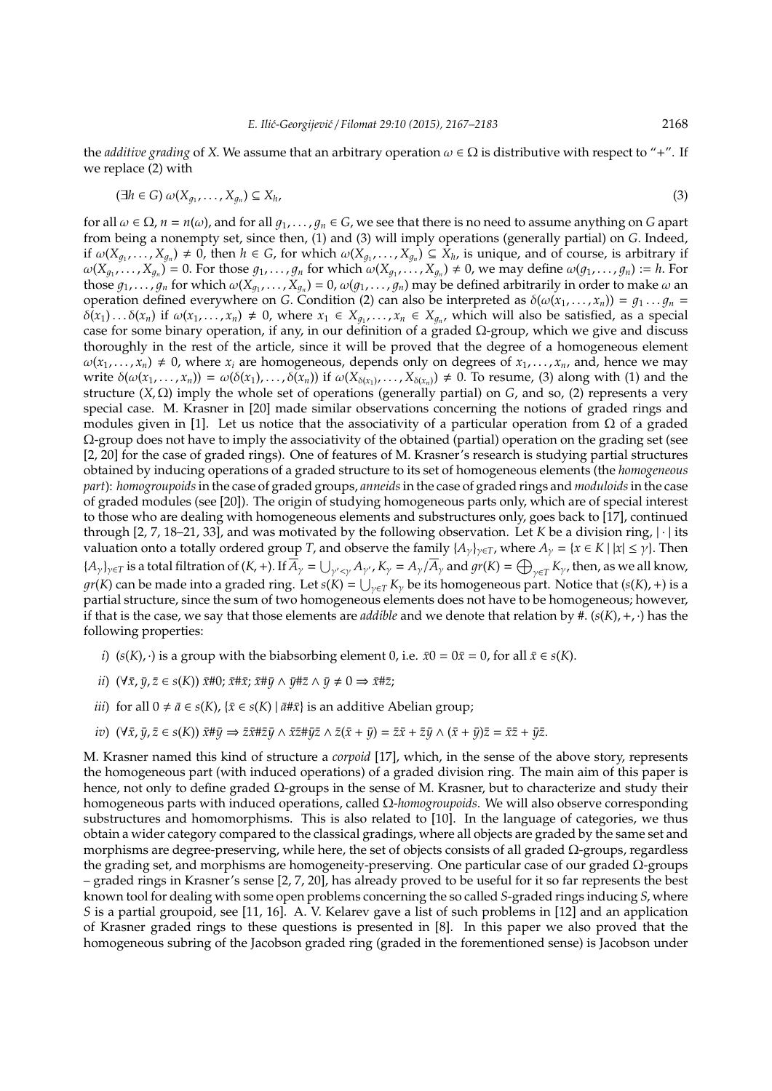the *additive grading* of *X*. We assume that an arbitrary operation  $\omega \in \Omega$  is distributive with respect to "+". If we replace (2) with

$$
(\exists h \in G) \omega(X_{g_1}, \ldots, X_{g_n}) \subseteq X_h,
$$
\n<sup>(3)</sup>

for all  $\omega \in \Omega$ ,  $n = n(\omega)$ , and for all  $q_1, \ldots, q_n \in G$ , we see that there is no need to assume anything on *G* apart from being a nonempty set, since then, (1) and (3) will imply operations (generally partial) on *G*. Indeed, if  $\omega(X_{g_1},...,X_{g_n}) \neq 0$ , then  $h \in G$ , for which  $\omega(X_{g_1},...,X_{g_n}) \subseteq X_h$ , is unique, and of course, is arbitrary if  $\omega(X_{g_1},\ldots,X_{g_n})=0$ . For those  $g_1,\ldots,g_n$  for which  $\omega(X_{g_1},\ldots,X_{g_n})\neq 0$ , we may define  $\omega(g_1,\ldots,g_n):=h$ . For those  $g_1, \ldots, g_n$  for which  $\omega(X_{g_1}, \ldots, X_{g_n}) = 0$ ,  $\omega(g_1, \ldots, g_n)$  may be defined arbitrarily in order to make  $\omega$  an operation defined everywhere on *G*. Condition (2) can also be interpreted as  $\delta(\omega(x_1, \ldots, x_n)) = g_1 \ldots g_n =$  $\delta(x_1) \ldots \delta(x_n)$  if  $\omega(x_1, \ldots, x_n) \neq 0$ , where  $x_1 \in X_{g_1}, \ldots, x_n \in X_{g_n}$ , which will also be satisfied, as a special case for some binary operation, if any, in our definition of a graded  $\Omega$ -group, which we give and discuss thoroughly in the rest of the article, since it will be proved that the degree of a homogeneous element  $\omega(x_1, \ldots, x_n) \neq 0$ , where  $x_i$  are homogeneous, depends only on degrees of  $x_1, \ldots, x_n$ , and, hence we may write  $\delta(\omega(x_1,\ldots,x_n)) = \omega(\delta(x_1),\ldots,\delta(x_n))$  if  $\omega(X_{\delta(x_1)},\ldots,X_{\delta(x_n)}) \neq 0$ . To resume, (3) along with (1) and the structure (*X*, Ω) imply the whole set of operations (generally partial) on *G*, and so, (2) represents a very special case. M. Krasner in [20] made similar observations concerning the notions of graded rings and modules given in [1]. Let us notice that the associativity of a particular operation from  $\Omega$  of a graded  $\Omega$ -group does not have to imply the associativity of the obtained (partial) operation on the grading set (see [2, 20] for the case of graded rings). One of features of M. Krasner's research is studying partial structures obtained by inducing operations of a graded structure to its set of homogeneous elements (the *homogeneous part*): *homogroupoids*in the case of graded groups, *anneids*in the case of graded rings and *moduloids*in the case of graded modules (see [20]). The origin of studying homogeneous parts only, which are of special interest to those who are dealing with homogeneous elements and substructures only, goes back to [17], continued through [2, 7, 18–21, 33], and was motivated by the following observation. Let *K* be a division ring, | · | its valuation onto a totally ordered group *T*, and observe the family  $\{A_{\gamma}\}_{\gamma\in T}$ , where  $A_{\gamma} = \{x \in K \mid |x| \leq \gamma\}$ . Then  ${A_{\gamma}}_{\gamma \in T}$  is a total filtration of  $(K, +)$ . If  $\overline{A}_{\gamma} = \bigcup_{\gamma' < \gamma} A_{\gamma'}$ ,  $K_{\gamma} = A_{\gamma}/\overline{A}_{\gamma}$  and  $gr(K) = \bigoplus_{\gamma \in T} K_{\gamma}$ , then, as we all know,  $gr(K)$  can be made into a graded ring. Let  $s(K) = \bigcup_{\gamma \in T} K_\gamma$  be its homogeneous part. Notice that  $(s(K), +)$  is a partial structure, since the sum of two homogeneous elements does not have to be homogeneous; however, if that is the case, we say that those elements are *addible* and we denote that relation by #. (*s*(*K*),+, ·) has the following properties:

- *i*) (*s*(*K*), ·) is a group with the biabsorbing element 0, i.e.  $\bar{x}0 = 0\bar{x} = 0$ , for all  $\bar{x} \in s(K)$ .
- *ii*)  $(\forall \bar{x}, \bar{y}, \bar{z} \in s(K)) \bar{x}$ #0;  $\bar{x}$ # $\bar{x}$ ;  $\bar{x}$ # $\bar{y}$  ∧  $\bar{y}$ # $\bar{z}$  ∧  $\bar{y}$  ≠ 0 ⇒  $\bar{x}$ # $\bar{z}$ ;
- *iii*) for all 0 ≠  $\bar{a}$  ∈ *s*(*K*), { $\bar{x}$  ∈ *s*(*K*) |  $\bar{a}$ # $\bar{x}$ } is an additive Abelian group;
- *iv*)  $(\forall \bar{x}, \bar{y}, \bar{z} \in s(K)) \bar{x} \# \bar{y} \Rightarrow \bar{z} \bar{x} \# \bar{z} \bar{y} \wedge \bar{x} \bar{z} \# \bar{y} \bar{z} \wedge \bar{z} (\bar{x} + \bar{y}) = \bar{z} \bar{x} + \bar{z} \bar{y} \wedge (\bar{x} + \bar{y}) \bar{z} = \bar{x} \bar{z} + \bar{y} \bar{z}.$

M. Krasner named this kind of structure a *corpoid* [17], which, in the sense of the above story, represents the homogeneous part (with induced operations) of a graded division ring. The main aim of this paper is hence, not only to define graded  $\Omega$ -groups in the sense of M. Krasner, but to characterize and study their homogeneous parts with induced operations, called Ω-*homogroupoids*. We will also observe corresponding substructures and homomorphisms. This is also related to [10]. In the language of categories, we thus obtain a wider category compared to the classical gradings, where all objects are graded by the same set and morphisms are degree-preserving, while here, the set of objects consists of all graded  $\Omega$ -groups, regardless the grading set, and morphisms are homogeneity-preserving. One particular case of our graded Ω-groups – graded rings in Krasner's sense [2, 7, 20], has already proved to be useful for it so far represents the best known tool for dealing with some open problems concerning the so called *S*-graded rings inducing *S*, where *S* is a partial groupoid, see [11, 16]. A. V. Kelarev gave a list of such problems in [12] and an application of Krasner graded rings to these questions is presented in [8]. In this paper we also proved that the homogeneous subring of the Jacobson graded ring (graded in the forementioned sense) is Jacobson under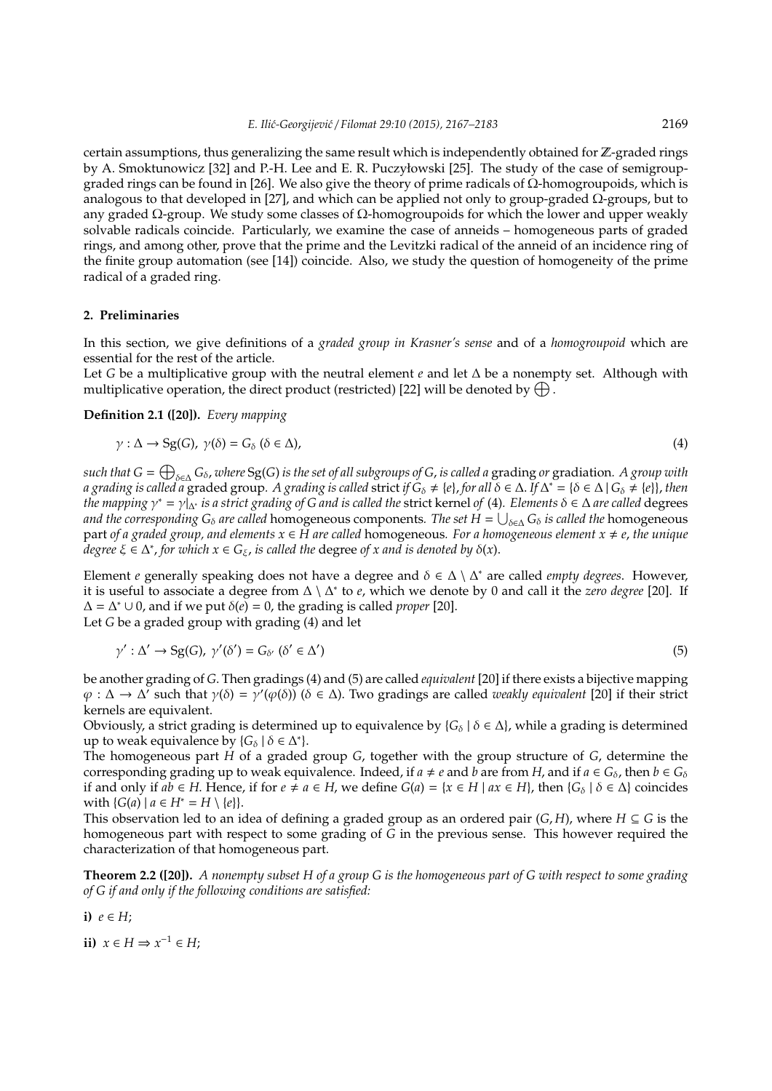certain assumptions, thus generalizing the same result which is independently obtained for  $\mathbb{Z}$ -graded rings by A. Smoktunowicz [32] and P.-H. Lee and E. R. Puczyłowski [25]. The study of the case of semigroupgraded rings can be found in [26]. We also give the theory of prime radicals of Ω-homogroupoids, which is analogous to that developed in [27], and which can be applied not only to group-graded Ω-groups, but to any graded  $\Omega$ -group. We study some classes of  $\Omega$ -homogroupoids for which the lower and upper weakly solvable radicals coincide. Particularly, we examine the case of anneids – homogeneous parts of graded rings, and among other, prove that the prime and the Levitzki radical of the anneid of an incidence ring of the finite group automation (see [14]) coincide. Also, we study the question of homogeneity of the prime radical of a graded ring.

#### **2. Preliminaries**

In this section, we give definitions of a *graded group in Krasner's sense* and of a *homogroupoid* which are essential for the rest of the article.

Let *G* be a multiplicative group with the neutral element *e* and let ∆ be a nonempty set. Although with multiplicative operation, the direct product (restricted) [22] will be denoted by  $\bigoplus$ .

### **Definition 2.1 ([20]).** *Every mapping*

$$
\gamma : \Delta \to \mathrm{Sg}(G), \ \gamma(\delta) = G_{\delta} \ (\delta \in \Delta), \tag{4}
$$

*such that G* = L <sup>δ</sup>∈<sup>∆</sup> *G*δ, *where* Sg(*G*) *is the set of all subgroups of G*, *is called a* grading *or* gradiation*. A group with a grading is called a graded group. A grading is called strict if*  $G_\delta \neq \{e\}$ *, for all*  $\delta \in \Delta$ . If  $\Delta^* = \{\delta \in \Delta \mid G_\delta \neq \{e\}\}\$ , then *the mapping* γ <sup>∗</sup> = γ|∆<sup>∗</sup> *is a strict grading of G and is called the* strict kernel *of* (4)*. Elements* δ ∈ ∆ *are called* degrees and the corresponding  $G_\delta$  are called <code>homogeneous</code> components. The set  $H=\bigcup_{\delta\in\Delta}G_\delta$  is called the <code>homogeneous</code> part *of a graded group, and elements*  $x \in H$  *are called* homogeneous. For a homogeneous element  $x \neq e$ , *the unique degree* ξ ∈ ∆ ∗ , *for which x* ∈ *G*ξ, *is called the* degree *of x and is denoted by* δ(*x*).

Element *e* generally speaking does not have a degree and δ ∈ ∆ \ ∆ <sup>∗</sup> are called *empty degrees*. However, it is useful to associate a degree from ∆ \ ∆ ∗ to *e*, which we denote by 0 and call it the *zero degree* [20]. If  $Δ = Δ<sup>*</sup> ∪ 0$ , and if we put  $δ(e) = 0$ , the grading is called *proper* [20]. Let *G* be a graded group with grading (4) and let

$$
\gamma': \Delta' \to \mathrm{Sg}(G), \ \gamma'(\delta') = G_{\delta'} \ (\delta' \in \Delta')
$$
\n<sup>(5)</sup>

be another grading of *G*. Then gradings (4) and (5) are called *equivalent* [20] if there exists a bijective mapping  $\varphi : \Delta \to \Delta'$  such that  $\gamma(\delta) = \gamma'(\varphi(\delta))$  ( $\delta \in \Delta$ ). Two gradings are called *weakly equivalent* [20] if their strict kernels are equivalent.

Obviously, a strict grading is determined up to equivalence by  ${G_{\delta} | \delta \in \Delta}$ , while a grading is determined up to weak equivalence by  $\{G_\delta \mid \delta \in \Delta^*\}.$ 

The homogeneous part *H* of a graded group *G*, together with the group structure of *G*, determine the corresponding grading up to weak equivalence. Indeed, if  $a \neq e$  and  $b$  are from *H*, and if  $a \in G_\delta$ , then  $b \in G_\delta$ if and only if  $ab \in H$ . Hence, if for  $e \neq a \in H$ , we define  $G(a) = \{x \in H \mid ax \in H\}$ , then  $\{G_{\delta} \mid \delta \in \Delta\}$  coincides with  ${G(a) | a ∈ H^* = H \setminus {e}}.$ 

This observation led to an idea of defining a graded group as an ordered pair  $(G, H)$ , where  $H \subseteq G$  is the homogeneous part with respect to some grading of *G* in the previous sense. This however required the characterization of that homogeneous part.

**Theorem 2.2 ([20]).** *A nonempty subset H of a group G is the homogeneous part of G with respect to some grading of G if and only if the following conditions are satisfied:*

i)  $e \in H$ :

**ii)**  $x \in H \Rightarrow x^{-1} \in H$ ;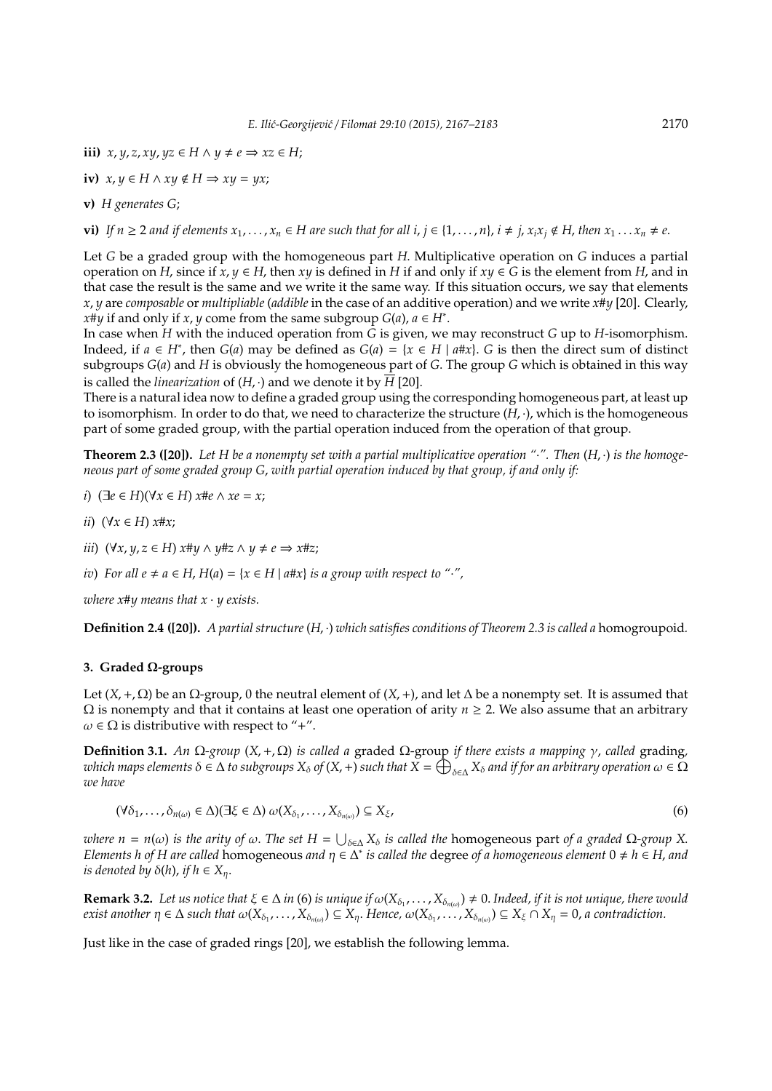**iii)**  $x, y, z, xy, yz \in H \wedge y \neq e \implies xz \in H$ ;

iv) 
$$
x, y \in H \wedge xy \notin H \Rightarrow xy = yx;
$$

**v)** *H generates G*;

**vi)** If  $n \ge 2$  and if elements  $x_1, \ldots, x_n \in H$  are such that for all  $i, j \in \{1, \ldots, n\}$ ,  $i \ne j$ ,  $x_ix_j \notin H$ , then  $x_1 \ldots x_n \ne e$ .

Let *G* be a graded group with the homogeneous part *H*. Multiplicative operation on *G* induces a partial operation on *H*, since if  $x, y \in H$ , then  $xy$  is defined in *H* if and only if  $xy \in G$  is the element from *H*, and in that case the result is the same and we write it the same way. If this situation occurs, we say that elements *x*, *y* are *composable* or *multipliable* (*addible* in the case of an additive operation) and we write *x*#*y* [20]. Clearly, *x*#*y* if and only if *x*, *y* come from the same subgroup *G*(*a*),  $a \in H^*$ .

In case when *H* with the induced operation from *G* is given, we may reconstruct *G* up to *H*-isomorphism. Indeed, if *a* ∈ *H*<sup>\*</sup>, then *G*(*a*) may be defined as *G*(*a*) = {*x* ∈ *H* | *a*#*x*}. *G* is then the direct sum of distinct subgroups *G*(*a*) and *H* is obviously the homogeneous part of *G*. The group *G* which is obtained in this way is called the *linearization* of  $(H, \cdot)$  and we denote it by  $H$  [20].

There is a natural idea now to define a graded group using the corresponding homogeneous part, at least up to isomorphism. In order to do that, we need to characterize the structure  $(H, \cdot)$ , which is the homogeneous part of some graded group, with the partial operation induced from the operation of that group.

**Theorem 2.3 ([20]).** *Let H be a nonempty set with a partial multiplicative operation "*·*". Then* (*H*, ·) *is the homogeneous part of some graded group G*, *with partial operation induced by that group, if and only if:*

*i*) (∃*e* ∈ *H*)(∀*x* ∈ *H*) *x*#*e* ∧ *xe* = *x*;

- *ii*) (∀*x* ∈ *H*) *x*#*x*;
- *iii*)  $(\forall x, y, z \in H)$  *x*#*y* ∧ *y*#*z* ∧ *y* ≠ *e*  $\Rightarrow$  *x*#*z*;
- *iv*) *For all e*  $\neq$  *a* ∈ *H*, *H*(*a*) = { $x \in$  *H* | *a*#*x*} *is a group with respect to "*·*"*,

*where x*#*y means that x* · *y exists.*

**Definition 2.4 ([20]).** *A partial structure*(*H*, ·) *which satisfies conditions of Theorem 2.3 is called a* homogroupoid*.*

### **3. Graded** Ω**-groups**

Let  $(X, +, \Omega)$  be an  $\Omega$ -group, 0 the neutral element of  $(X, +)$ , and let  $\Delta$  be a nonempty set. It is assumed that  $Ω$  is nonempty and that it contains at least one operation of arity *n*  $≥$  2. We also assume that an arbitrary  $\omega \in \Omega$  is distributive with respect to "+".

**Definition 3.1.** *An* Ω*-group* (*X*,+, Ω) *is called a* graded Ω-group *if there exists a mapping* γ, *called* grading*,*  $\omega$ hich maps elements  $\delta \in \Delta$  to subgroups  $X_\delta$  of  $(X,+)$  such that  $\breve{X}=\bigoplus_{\delta \in \Delta} X_\delta$  and if for an arbitrary operation  $\omega \in \breve{\Omega}$ *we have*

$$
(\forall \delta_1, \ldots, \delta_{n(\omega)} \in \Delta)(\exists \xi \in \Delta) \, \omega(X_{\delta_1}, \ldots, X_{\delta_{n(\omega)}}) \subseteq X_{\xi},\tag{6}
$$

 $\omega$ *here*  $n = n(\omega)$  *is the arity of*  $\omega$ . *The set*  $H = \bigcup_{\delta \in \Delta} X_{\delta}$  *is called the* homogeneous part *of* a graded  $\Omega$ -group X. *Elements h of H are called homogeneous and*  $\eta \in \overline{\Delta^*}$  *is called the degree of a homogeneous element*  $0 \neq h \in H$ , *and is denoted by*  $\delta(h)$ , *if*  $h \in X_n$ .

**Remark 3.2.** Let us notice that  $\xi \in \Delta$  in (6) is unique if  $\omega(X_{\delta_1},\ldots,X_{\delta_{n(\omega)}}) \neq 0$ . Indeed, if it is not unique, there would  $exist$  another  $\eta \in \Delta$  such that  $\omega(X_{\delta_1},\ldots,X_{\delta_{n(\omega)}}) \subseteq X_\eta$ . Hence,  $\omega(X_{\delta_1},\ldots,X_{\delta_{n(\omega)}}) \subseteq X_\xi \cap X_\eta = 0$ , a contradiction.

Just like in the case of graded rings [20], we establish the following lemma.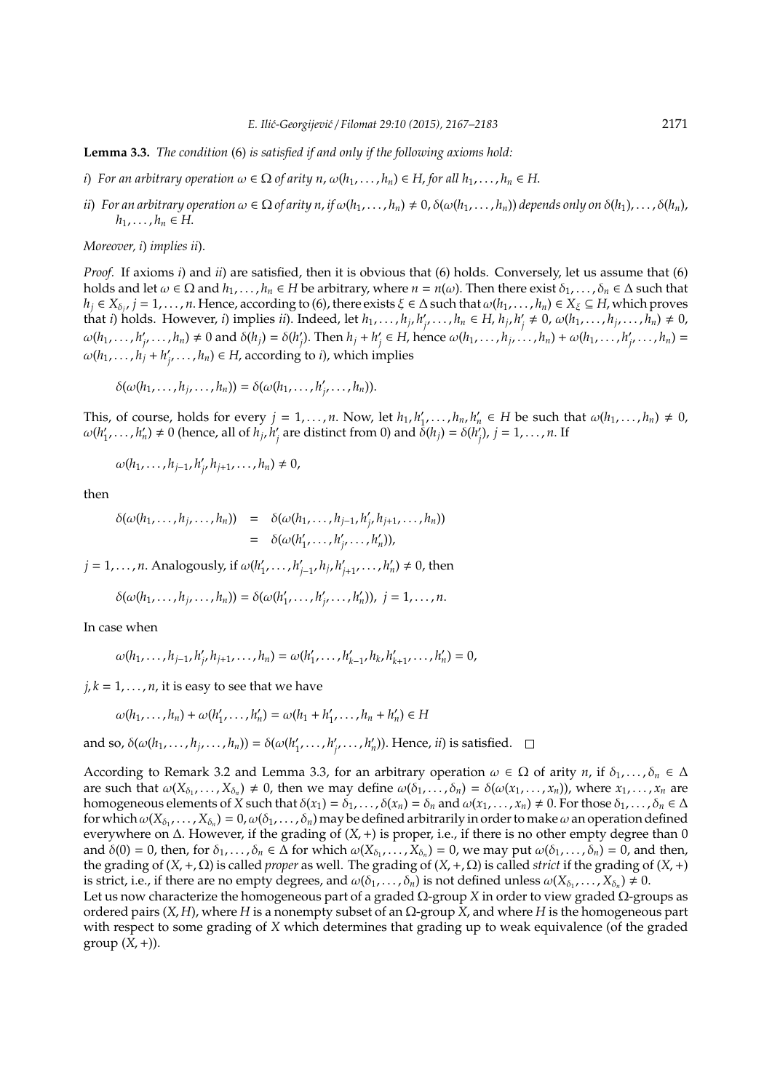**Lemma 3.3.** *The condition* (6) *is satisfied if and only if the following axioms hold:*

- *i*) *For an arbitrary operation*  $\omega \in \Omega$  *of arity n,*  $\omega(h_1, \ldots, h_n) \in H$ , *for all*  $h_1, \ldots, h_n \in H$ .
- ii) For an arbitrary operation  $\omega \in \Omega$  of arity n, if  $\omega(h_1,\ldots,h_n) \neq 0$ ,  $\delta(\omega(h_1,\ldots,h_n))$  depends only on  $\delta(h_1),\ldots,\delta(h_n)$ , *h*<sub>1</sub>, . . . *, h<sub>n</sub>* ∈ *H*.

*Moreover, i*) *implies ii*).

*Proof.* If axioms *i*) and *ii*) are satisfied, then it is obvious that (6) holds. Conversely, let us assume that (6) holds and let  $\omega \in \Omega$  and  $h_1, \ldots, h_n \in H$  be arbitrary, where  $n = n(\omega)$ . Then there exist  $\delta_1, \ldots, \delta_n \in \Delta$  such that  $h_j \in X_{\delta_j}$ ,  $j = 1, \ldots, n$ . Hence, according to (6), there exists  $\xi \in \Delta$  such that  $\omega(h_1, \ldots, h_n) \in X_{\xi} \subseteq H$ , which proves that *i*) holds. However, *i*) implies *ii*). Indeed, let  $h_1, \ldots, h_j, h'_j$  $\sum_{j'}^{i}$ , ...,  $h_n \in H$ ,  $h_j$ ,  $h'_j$  $\hat{h}_j \neq 0$ ,  $\omega(h_1, ..., h_j, ..., h_n) \neq 0$ ,  $\omega(h_1, \ldots, h'_i)$  $\delta_{i_1}, \ldots, h_n) \neq 0$  and  $\delta(h_j) = \delta(h'_j)$  $\binom{1}{j}$ . Then  $h_j + h'_j$  $\mathbf{y}'_j \in H$ , hence  $\omega(h_1, \ldots, h_j, \ldots, h_n) + \omega(h_1, \ldots, h'_j)$  $'_{i'}$ , ...,  $h_n$ ) =  $\omega(h_1, \ldots, h_j + h_j)$  $\mathcal{A}_{i'}$ , ...,  $h_n$ )  $\in$  *H*, according to *i*), which implies

$$
\delta(\omega(h_1,\ldots,h_j,\ldots,h_n))=\delta(\omega(h_1,\ldots,h'_j,\ldots,h_n)).
$$

This, of course, holds for every  $j = 1, \ldots, n$ . Now, let  $h_1, h'_1$  $h_1, \ldots, h_n, h'_n \in H$  be such that  $\omega(h_1, \ldots, h_n) \neq 0$ ,  $\omega(h_1)$  $h'_1, \ldots, h'_n) \neq 0$  (hence, all of  $h_j, h'_j$  $\delta_{j}$  are distinct from 0) and  $\dot{\delta}(h_{j}) = \delta(h'_{j})$ *j* ), *j* = 1, . . . , *n*. If

$$
\omega(h_1,\ldots,h_{j-1},h'_j,h_{j+1},\ldots,h_n)\neq 0,
$$

then

$$
\begin{array}{rcl}\n\delta(\omega(h_1,\ldots,h_j,\ldots,h_n)) & = & \delta(\omega(h_1,\ldots,h_{j-1},h'_j,h_{j+1},\ldots,h_n)) \\
& = & \delta(\omega(h'_1,\ldots,h'_j,\ldots,h'_n)),\n\end{array}
$$

 $j = 1, \ldots, n$ . Analogously, if  $\omega(h_1)$  $h'_{j-1}, h'_{j}$ ,  $h'_{j}$  $\lambda'_{j+1}, \ldots, h'_n) \neq 0$ , then

$$
\delta(\omega(h_1,\ldots,h_j,\ldots,h_n))=\delta(\omega(h'_1,\ldots,h'_j,\ldots,h'_n)),\ j=1,\ldots,n.
$$

In case when

$$
\omega(h_1,\ldots,h_{j-1},h'_j,h_{j+1},\ldots,h_n)=\omega(h'_1,\ldots,h'_{k-1},h_k,h'_{k+1},\ldots,h'_n)=0,
$$

 $j, k = 1, \ldots, n$ , it is easy to see that we have

 $\omega(h_1, \ldots, h_n) + \omega(h'_1)$  $'_{1}, \ldots, h'_{n}$  $n'_n$ ) =  $\omega(h_1 + h'_1)$  $h'_{1}, \ldots, h_{n} + h'_{n}$  $n'$ <sub>n</sub> $) \in H$ 

and so,  $\delta(\omega(h_1, \ldots, h_j, \ldots, h_n)) = \delta(\omega(h'_1, \ldots, h'_n))$  $'_{1}, \ldots, h'_{j}$  $\mathcal{L}_{i'}$ ,  $\ldots$ ,  $h'_{n}$ )). Hence, *ii*) is satisfied.

According to Remark 3.2 and Lemma 3.3, for an arbitrary operation  $\omega \in \Omega$  of arity *n*, if  $\delta_1, \ldots, \delta_n \in \Delta$ are such that  $\omega(X_{\delta_1},...,X_{\delta_n}) \neq 0$ , then we may define  $\omega(\delta_1,...,\delta_n) = \delta(\omega(x_1,...,x_n))$ , where  $x_1,...,x_n$  are homogeneous elements of *X* such that  $\delta(x_1) = \delta_1, \ldots, \delta(x_n) = \delta_n$  and  $\omega(x_1, \ldots, x_n) \neq 0$ . For those  $\delta_1, \ldots, \delta_n \in \Delta$ for which  $\omega(X_{\delta_1},\ldots,X_{\delta_n})=0$ ,  $\omega(\delta_1,\ldots,\delta_n)$  may be defined arbitrarily in order to make  $\omega$  an operation defined everywhere on ∆. However, if the grading of (*X*,+) is proper, i.e., if there is no other empty degree than 0 and  $\delta(0) = 0$ , then, for  $\delta_1, \ldots, \delta_n \in \Delta$  for which  $\omega(X_{\delta_1}, \ldots, \hat{X}_{\delta_n}) = 0$ , we may put  $\omega(\delta_1, \ldots, \delta_n) = 0$ , and then, the grading of (*X*,+, Ω) is called *proper* as well. The grading of (*X*,+, Ω) is called *strict* if the grading of (*X*,+) is strict, i.e., if there are no empty degrees, and  $\omega(\delta_1,\ldots,\delta_n)$  is not defined unless  $\omega(X_{\delta_1},\ldots,X_{\delta_n})\neq 0$ .

Let us now characterize the homogeneous part of a graded Ω-group *X* in order to view graded Ω-groups as ordered pairs (*X*, *H*), where *H* is a nonempty subset of an Ω-group *X*, and where *H* is the homogeneous part with respect to some grading of *X* which determines that grading up to weak equivalence (of the graded group  $(X, +)$ ).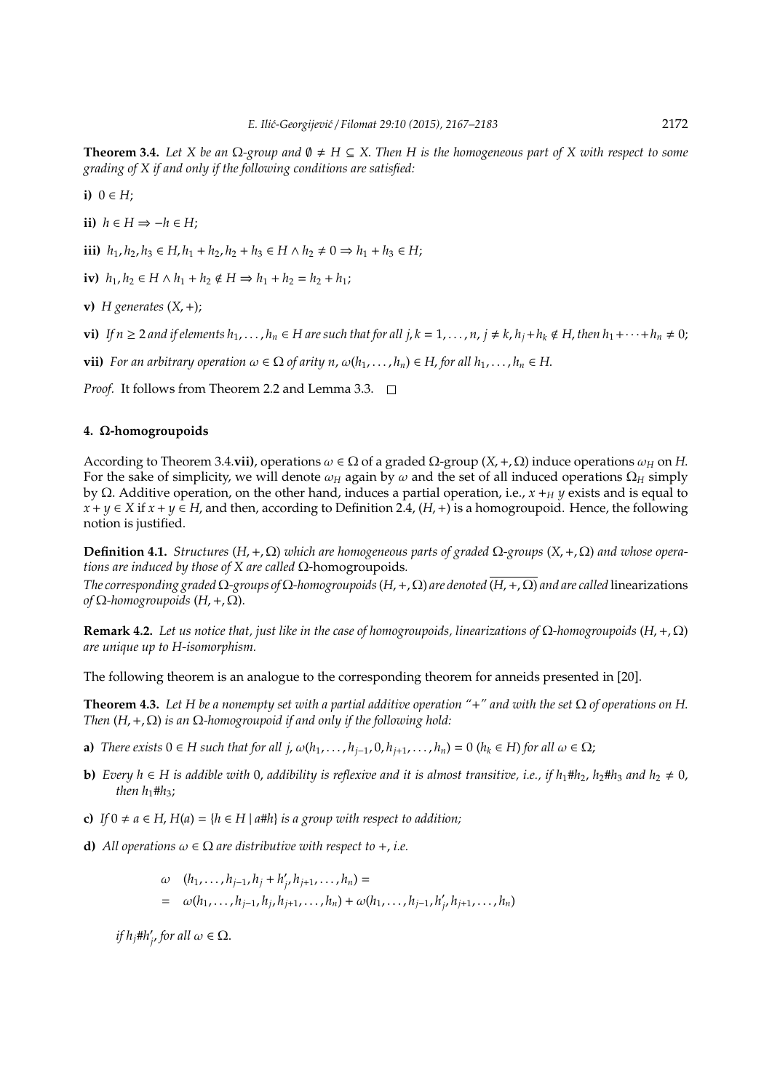**Theorem 3.4.** Let X be an  $\Omega$ -group and  $\emptyset \neq H \subseteq X$ . Then H is the homogeneous part of X with respect to some *grading of X if and only if the following conditions are satisfied:*

**i)**  $0 \in H$ ;

**ii)**  $h \in H$  ⇒ − $h \in H$ ;

**iii**)  $h_1, h_2, h_3 \in H, h_1 + h_2, h_2 + h_3 \in H \wedge h_2 \neq 0 \Rightarrow h_1 + h_3 \in H;$ 

**iv)**  $h_1, h_2 \in H \wedge h_1 + h_2 \notin H \Rightarrow h_1 + h_2 = h_2 + h_1;$ 

**v)**  $H$  generates  $(X, +)$ ;

vi) If  $n \geq 2$  and if elements  $h_1, \ldots, h_n \in H$  are such that for all  $j, k = 1, \ldots, n, j \neq k, h_j + h_k \notin H$ , then  $h_1 + \cdots + h_n \neq 0$ ;

**vii)** *For an arbitrary operation*  $\omega \in \Omega$  *of arity n,*  $\omega(h_1, \ldots, h_n) \in H$ , *for all*  $h_1, \ldots, h_n \in H$ .

*Proof.* It follows from Theorem 2.2 and Lemma 3.3. □

### **4.** Ω**-homogroupoids**

According to Theorem 3.4.**vii)**, operations  $\omega \in \Omega$  of a graded  $\Omega$ -group  $(X, +, \Omega)$  induce operations  $\omega_H$  on *H*. For the sake of simplicity, we will denote  $\omega_H$  again by  $\omega$  and the set of all induced operations  $\Omega_H$  simply by Ω. Additive operation, on the other hand, induces a partial operation, i.e., *x* +*<sup>H</sup> y* exists and is equal to *x* + *y* ∈ *X* if *x* + *y* ∈ *H*, and then, according to Definition 2.4, (*H*, +) is a homogroupoid. Hence, the following notion is justified.

**Definition 4.1.** *Structures* ( $H$ , +,  $Ω$ ) *which are homogeneous parts of graded*  $Ω$ -*groups* ( $X$ , +,  $Ω$ ) *and whose operations are induced by those of X are called* Ω-homogroupoids*.*

*The corresponding graded* Ω*-groups of* Ω*-homogroupoids*(*H*,+, Ω) *are denoted* (*H*,+, Ω) *and are called* linearizations *of* Ω*-homogroupoids* (*H*,+, Ω).

**Remark 4.2.** *Let us notice that, just like in the case of homogroupoids, linearizations of* Ω*-homogroupoids* (*H*,+, Ω) *are unique up to H-isomorphism.*

The following theorem is an analogue to the corresponding theorem for anneids presented in [20].

**Theorem 4.3.** *Let H be a nonempty set with a partial additive operation "*+*" and with the set* Ω *of operations on H*. *Then* (*H*,+, Ω) *is an* Ω*-homogroupoid if and only if the following hold:*

- **a)** *There exists*  $0 \in H$  *such that for all j,*  $\omega(h_1, \ldots, h_{i-1}, 0, h_{i+1}, \ldots, h_n) = 0$  ( $h_k \in H$ ) for all  $\omega \in \Omega$ ;
- **b)** *Every*  $h$  ∈ *H* is addible with 0, addibility is reflexive and it is almost transitive, i.e., if  $h_1$ # $h_2$ ,  $h_2$ # $h_3$  and  $h_2 \neq 0$ , *then*  $h_1$ # $h_3$ ;
- **c)** *If* 0 ≠ *a* ∈ *H*, *H*(*a*) = {*h* ∈ *H* | *a*#*h*} *is a group with respect to addition;*
- **d)** All operations  $\omega \in \Omega$  are distributive with respect to  $+$ , *i.e.*

 $ω (h_1, ..., h_{j-1}, h_j + h'_j)$  $'_{j'} h_{j+1}, \ldots, h_n) =$  $= \omega(h_1, \ldots, h_{j-1}, h_j, h_{j+1}, \ldots, h_n) + \omega(h_1, \ldots, h_{j-1}, h'_j)$  $'_{i'}$   $h_{j+1}, \ldots, h_n$ )

*if hj*#*h* 0  $'_{j'}$  for all  $\omega \in \Omega$ .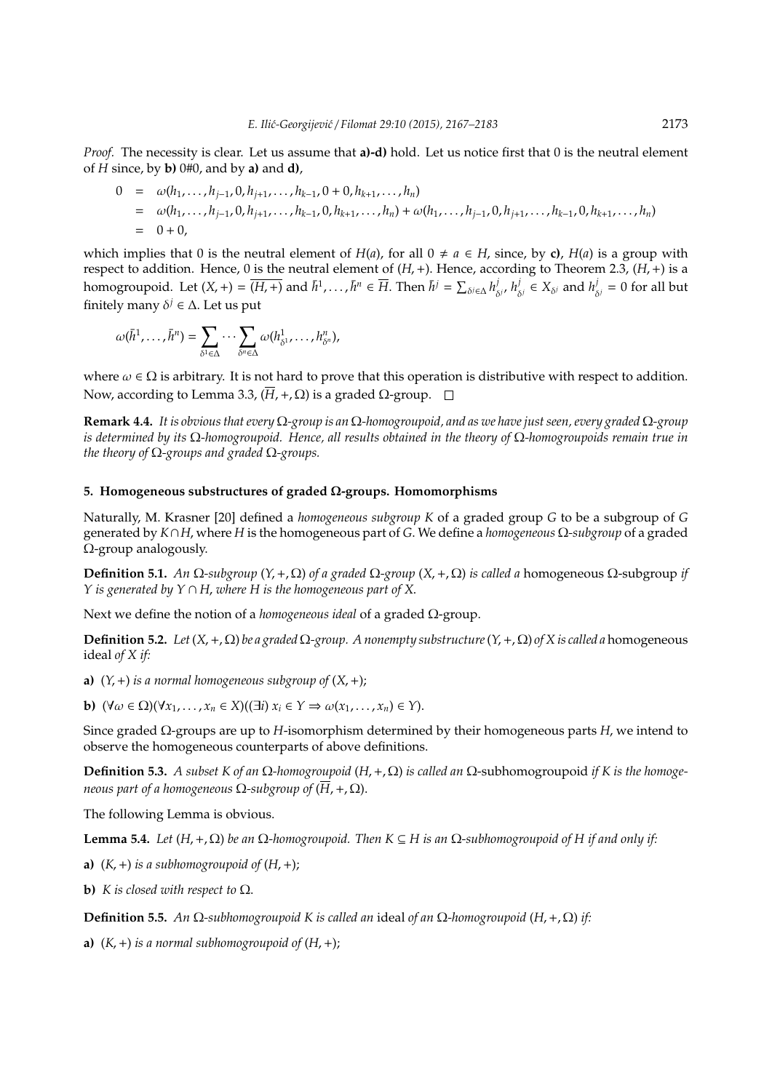*Proof.* The necessity is clear. Let us assume that **a)-d)** hold. Let us notice first that 0 is the neutral element of *H* since, by **b)** 0#0, and by **a)** and **d)**,

$$
0 = \omega(h_1, \ldots, h_{j-1}, 0, h_{j+1}, \ldots, h_{k-1}, 0 + 0, h_{k+1}, \ldots, h_n)
$$
  
=  $\omega(h_1, \ldots, h_{j-1}, 0, h_{j+1}, \ldots, h_{k-1}, 0, h_{k+1}, \ldots, h_n) + \omega(h_1, \ldots, h_{j-1}, 0, h_{j+1}, \ldots, h_{k-1}, 0, h_{k+1}, \ldots, h_n)$   
=  $0 + 0$ ,

which implies that 0 is the neutral element of  $H(a)$ , for all  $0 \neq a \in H$ , since, by **c**),  $H(a)$  is a group with respect to addition. Hence, 0 is the neutral element of (*H*,+). Hence, according to Theorem 2.3, (*H*,+) is a homogroupoid. Let  $(X, +) = \overline{(H, +)}$  and  $\overline{h}^1, \ldots, \overline{h}^n \in \overline{H}$ . Then  $\overline{h}^j = \sum_{\delta^j \in \Delta} h_{\delta}^j$ δ *j* , *h j*  $j_{\delta}$ <sup>*j*</sup>  $\in X_{\delta}$ *j* and  $h_{\delta}^{j}$  $\delta_{\delta^j} = 0$  for all but finitely many  $\delta^j \in \Delta$ . Let us put

$$
\omega(\bar{h}^1,\ldots,\bar{h}^n)=\sum_{\delta^1\in\Delta}\cdots\sum_{\delta^n\in\Delta}\omega(h_{\delta^1}^1,\ldots,h_{\delta^n}^n),
$$

where  $\omega \in \Omega$  is arbitrary. It is not hard to prove that this operation is distributive with respect to addition. Now, according to Lemma 3.3,  $(\overline{H}, +, \Omega)$  is a graded  $\Omega$ -group.  $\square$ 

**Remark 4.4.** *It is obvious that every* Ω*-group is an* Ω*-homogroupoid, and as we have just seen, every graded* Ω*-group is determined by its* Ω*-homogroupoid. Hence, all results obtained in the theory of* Ω*-homogroupoids remain true in the theory of* Ω*-groups and graded* Ω*-groups.*

# **5. Homogeneous substructures of graded** Ω**-groups. Homomorphisms**

Naturally, M. Krasner [20] defined a *homogeneous subgroup K* of a graded group *G* to be a subgroup of *G* generated by *K*∩*H*, where *H* is the homogeneous part of *G*. We define a *homogeneous* Ω*-subgroup* of a graded Ω-group analogously.

**Definition 5.1.** *An*  $\Omega$ -subgroup (*Y*, +,  $\Omega$ ) *of a graded*  $\Omega$ -group (*X*, +,  $\Omega$ ) *is called a* homogeneous  $\Omega$ -subgroup *if Y is generated by Y* ∩ *H*, *where H is the homogeneous part of X*.

Next we define the notion of a *homogeneous ideal* of a graded Ω-group.

**Definition 5.2.** *Let*  $(X, +, Ω)$  *be a graded*  $Ω$ -*group. A nonempty substructure*  $(Y, +, Ω)$  *of*  $X$  *is called a* homogeneous ideal *of X if:*

**a)**  $(Y, +)$  *is a normal homogeneous subgroup of*  $(X, +)$ ;

**b)**  $(\forall \omega \in \Omega)(\forall x_1, \ldots, x_n \in X)((\exists i) x_i \in Y \Rightarrow \omega(x_1, \ldots, x_n) \in Y).$ 

Since graded Ω-groups are up to *H*-isomorphism determined by their homogeneous parts *H*, we intend to observe the homogeneous counterparts of above definitions.

**Definition 5.3.** *A subset K of an* Ω*-homogroupoid* (*H*,+, Ω) *is called an* Ω-subhomogroupoid *if K is the homogeneous part of a homogeneous*  $\Omega$ -subgroup of  $(\overline{H}, +, \Omega)$ .

The following Lemma is obvious.

**Lemma 5.4.** *Let*  $(H, +, \Omega)$  *be an*  $\Omega$ *-homogroupoid. Then*  $K \subseteq H$  *is an*  $\Omega$ *-subhomogroupoid of*  $H$  *if and only if:* 

**a)**  $(K, +)$  *is a subhomogroupoid of*  $(H, +)$ ;

**b)** *K* is closed with respect to  $\Omega$ .

**Definition 5.5.** *An*  $Ω$ -subhomogroupoid K is called an ideal of an  $Ω$ -homogroupoid  $(H, +, Ω)$  *if*:

**a)**  $(K, +)$  *is a normal subhomogroupoid of*  $(H, +)$ ;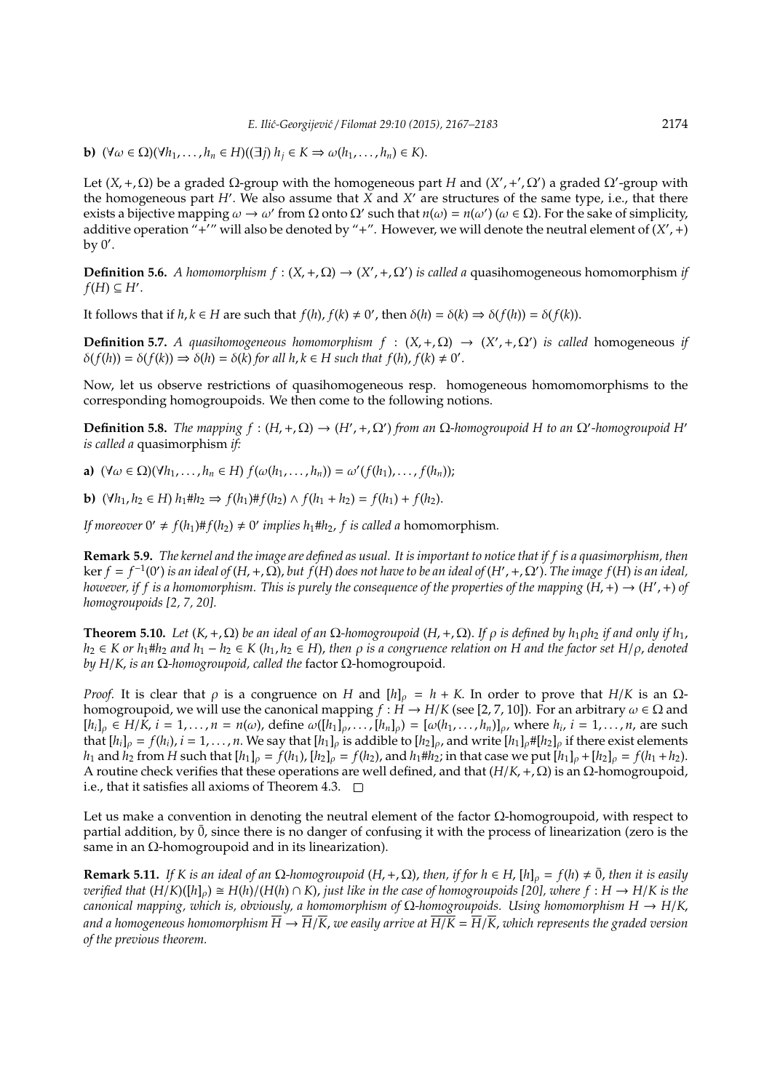**b)**  $(\forall \omega \in \Omega)(\forall h_1, \ldots, h_n \in H)((\exists j) h_i \in K \Rightarrow \omega(h_1, \ldots, h_n) \in K).$ 

Let  $(X, +, \Omega)$  be a graded  $\Omega$ -group with the homogeneous part *H* and  $(X', +', \Omega')$  a graded  $\Omega'$ -group with the homogeneous part *H'*. We also assume that  $\overline{X}$  and  $X'$  are structures of the same type, i.e., that there exists a bijective mapping  $\omega \to \omega'$  from  $\Omega$  onto  $\Omega'$  such that  $n(\omega) = n(\omega')$  ( $\omega \in \Omega$ ). For the sake of simplicity, additive operation "+'" will also be denoted by "+". However, we will denote the neutral element of  $(X', +)$ by  $0'$ .

**Definition 5.6.** *A homomorphism*  $f : (X, +, \Omega) \to (X', +, \Omega')$  *is called a* quasihomogeneous homomorphism *if*  $f(H) \subseteq H'.$ 

It follows that if  $h, k \in H$  are such that  $f(h), f(k) \neq 0'$ , then  $\delta(h) = \delta(k) \Rightarrow \delta(f(h)) = \delta(f(k))$ .

**Definition 5.7.** *A quasihomogeneous homomorphism*  $f : (X, +, \Omega) \rightarrow (X', +, \Omega')$  *is called* homogeneous *if*  $\delta(f(h)) = \delta(f(k)) \Rightarrow \delta(h) = \delta(k)$  for all  $h, k \in H$  such that  $f(h), f(k) \neq 0'$ .

Now, let us observe restrictions of quasihomogeneous resp. homogeneous homomomorphisms to the corresponding homogroupoids. We then come to the following notions.

**Definition 5.8.** *The mapping*  $f$  :  $(H, +, Ω)$  →  $(H', +, Ω')$  *from an*  $Ω$ -*homogroupoid H to an*  $Ω'$ -*homogroupoid H' is called a* quasimorphism *if:*

**a)**  $(\forall \omega \in \Omega)(\forall h_1, ..., h_n \in H) f(\omega(h_1, ..., h_n)) = \omega'(f(h_1), ..., f(h_n));$ 

**b)**  $(\forall h_1, h_2 \in H)$  *h*<sub>1</sub>#*h*<sub>2</sub> ⇒ *f*(*h*<sub>1</sub>)#*f*(*h*<sub>2</sub>) ∧ *f*(*h*<sub>1</sub> + *h*<sub>2</sub>) = *f*(*h*<sub>1</sub>) + *f*(*h*<sub>2</sub>).

*If moreover*  $0' \neq f(h_1) \# f(h_2) \neq 0'$  *implies*  $h_1 \# h_2$ , *f is called a* homomorphism.

**Remark 5.9.** *The kernel and the image are defined as usual. It is important to notice that if f is a quasimorphism, then*  $\ker f = f^{-1}(0')$  is an ideal of  $(H, +, \Omega)$ , but  $f(H)$  does not have to be an ideal of  $(H', +, \Omega')$ . The image  $f(H)$  is an ideal, *however, if f* is a homomorphism. This is purely the consequence of the properties of the mapping  $(H,+) \to (H',+)$  of *homogroupoids [2, 7, 20].*

**Theorem 5.10.** Let  $(K, +, \Omega)$  be an ideal of an  $\Omega$ -homogroupoid  $(H, +, \Omega)$ . If  $\rho$  is defined by  $h_1 \rho h_2$  if and only if  $h_1$ ,  $h_2$  ∈ *K* or  $h_1$ # $h_2$  and  $h_1 - h_2$  ∈ *K* ( $h_1, h_2$  ∈ H), then  $\rho$  is a congruence relation on H and the factor set H/ $\rho$ , denoted *by H*/*K*, *is an* Ω*-homogroupoid, called the* factor Ω-homogroupoid*.*

*Proof.* It is clear that  $\rho$  is a congruence on *H* and  $[h]_{\rho} = h + K$ . In order to prove that *H*/*K* is an  $\Omega$ homogroupoid, we will use the canonical mapping  $f : H \to H/K$  (see [2, 7, 10]). For an arbitrary  $\omega \in \Omega$  and  $[h_i]_p \in H/\tilde{K}$ ,  $i = 1,...,n = n(\omega)$ , define  $\omega([h_1]_p,...,[h_n]_p) = [\omega(h_1,...,h_n)]_p$ , where  $h_i$ ,  $i = 1,...,n$ , are such that  $[h_i]_\rho = f(h_i)$ ,  $i = 1, ..., n$ . We say that  $[h_1]_\rho$  is addible to  $[h_2]_\rho$ , and write  $[h_1]_\rho$ # $[h_2]_\rho$  if there exist elements  $h_1$  and  $h_2$  from H such that  $[h_1]_{\rho} = f(h_1)$ ,  $[h_2]_{\rho} = f(h_2)$ , and  $h_1 \# h_2$ ; in that case we put  $[h_1]_{\rho} + [h_2]_{\rho} = f(h_1 + h_2)$ . A routine check verifies that these operations are well defined, and that (*H*/*K*,+, Ω) is an Ω-homogroupoid, i.e., that it satisfies all axioms of Theorem 4.3.  $\Box$ 

Let us make a convention in denoting the neutral element of the factor Ω-homogroupoid, with respect to partial addition, by  $\bar{0}$ , since there is no danger of confusing it with the process of linearization (zero is the same in an  $\Omega$ -homogroupoid and in its linearization).

**Remark 5.11.** *If K is an ideal of an*  $\Omega$ -homogroupoid ( $H$ , +,  $\Omega$ ), *then, if for*  $h \in H$ ,  $[h]_o = f(h) \neq \overline{0}$ , *then it is easily verified that*  $(H/K)([h]_0) \cong H(h)/(H(h) \cap K)$ , *just like in the case of homogroupoids* [20], where  $f : H \to H/K$  is the *canonical mapping, which is, obviously, a homomorphism of* Ω*-homogroupoids. Using homomorphism H* → *H*/*K*, *and a homogeneous homomorphism*  $\overline{H} \to \overline{H}/\overline{K}$ , we easily arrive at  $\overline{H/K} = \overline{H}/\overline{K}$ , which represents the graded version *of the previous theorem.*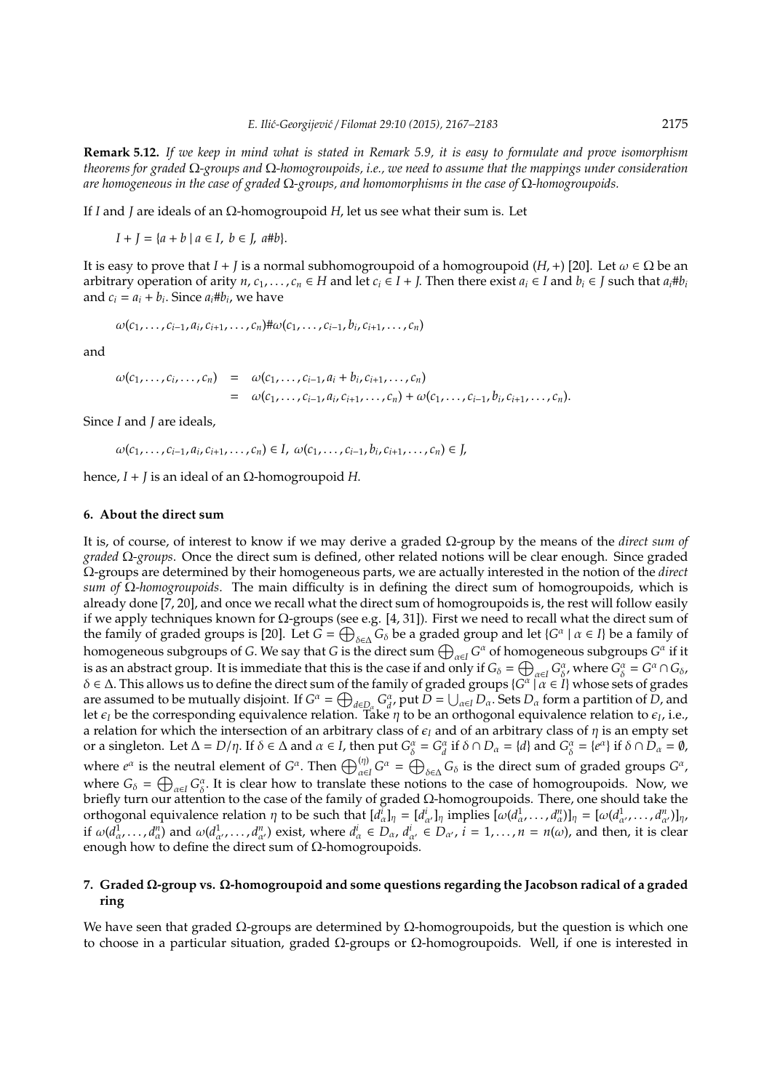**Remark 5.12.** *If we keep in mind what is stated in Remark 5.9, it is easy to formulate and prove isomorphism theorems for graded* Ω*-groups and* Ω*-homogroupoids, i.e., we need to assume that the mappings under consideration are homogeneous in the case of graded* Ω*-groups, and homomorphisms in the case of* Ω*-homogroupoids.*

If *I* and *J* are ideals of an Ω-homogroupoid *H*, let us see what their sum is. Let

 $I + I = \{a + b \mid a \in I, b \in I, a \# b\}.$ 

It is easy to prove that  $I + I$  is a normal subhomogroupoid of a homogroupoid  $(H, +)$  [20]. Let  $\omega \in \Omega$  be an arbitrary operation of arity  $n, c_1, ..., c_n \in H$  and let  $c_i \in I + J$ . Then there exist  $a_i \in I$  and  $b_i \in J$  such that  $a_i \# b_i$ and  $c_i = a_i + b_i$ . Since  $a_i \# b_i$ , we have

$$
\omega(c_1, ..., c_{i-1}, a_i, c_{i+1}, ..., c_n)
$$
# $\omega(c_1, ..., c_{i-1}, b_i, c_{i+1}, ..., c_n)$ 

and

$$
\omega(c_1, ..., c_i, ..., c_n) = \omega(c_1, ..., c_{i-1}, a_i + b_i, c_{i+1}, ..., c_n)
$$
  
= 
$$
\omega(c_1, ..., c_{i-1}, a_i, c_{i+1}, ..., c_n) + \omega(c_1, ..., c_{i-1}, b_i, c_{i+1}, ..., c_n).
$$

Since *I* and *J* are ideals,

 $\omega(c_1, ..., c_{i-1}, a_i, c_{i+1}, ..., c_n) \in I$ ,  $\omega(c_1, ..., c_{i-1}, b_i, c_{i+1}, ..., c_n) \in J$ ,

hence,  $I + J$  is an ideal of an Ω-homogroupoid *H*.

#### **6. About the direct sum**

It is, of course, of interest to know if we may derive a graded Ω-group by the means of the *direct sum of graded* Ω*-groups*. Once the direct sum is defined, other related notions will be clear enough. Since graded Ω-groups are determined by their homogeneous parts, we are actually interested in the notion of the *direct sum of* Ω*-homogroupoids*. The main difficulty is in defining the direct sum of homogroupoids, which is already done [7, 20], and once we recall what the direct sum of homogroupoids is, the rest will follow easily if we apply techniques known for Ω-groups (see e.g. [4, 31]). First we need to recall what the direct sum of the family of graded groups is [20]. Let  $G = \bigoplus_{\delta \in \Delta} G_{\delta}$  be a graded group and let  $\{G^{\alpha} \mid \alpha \in I\}$  be a family of homogeneous subgroups of *G*. We say that *G* is the direct sum  $\bigoplus_{\alpha\in I} G^\alpha$  of homogeneous subgroups  $G^\alpha$  if it is as an abstract group. It is immediate that this is the case if and only if  $G_{\delta} = \bigoplus_{\alpha \in I} G_{\delta}^{\alpha}$ , where  $G_{\delta}^{\alpha} = G^{\alpha} \cap G_{\delta}$ , δ ∈ ∆. This allows us to define the direct sum of the family of graded groups {*G* α | α ∈ *I*} whose sets of grades are assumed to be mutually disjoint. If  $G^{\alpha} = \bigoplus_{d \in D_{\alpha}} G^{\alpha}_{d}$ , put  $D = \bigcup_{\alpha \in I} D_{\alpha}$ . Sets  $D_{\alpha}$  form a partition of *D*, and let  $\epsilon_I$  be the corresponding equivalence relation. Take  $\eta$  to be an orthogonal equivalence relation to  $\epsilon_I$ , i.e., a relation for which the intersection of an arbitrary class of  $\epsilon_1$  and of an arbitrary class of  $\eta$  is an empty set or a singleton. Let  $\Delta = D/\eta$ . If  $\delta \in \Delta$  and  $\alpha \in I$ , then put  $G_{\delta}^{\alpha} = G_{d}^{\alpha}$  if  $\delta \cap D_{\alpha} = \{d\}$  and  $G_{\delta}^{\alpha} = \{e^{\alpha}\}\$  if  $\delta \cap \overline{D}_{\alpha} = \emptyset$ , where  $e^{\alpha}$  is the neutral element of  $G^{\alpha}$ . Then  $\bigoplus_{\alpha \in I}^{(\eta)} G^{\alpha} = \bigoplus_{\delta \in \Delta} G_{\delta}$  is the direct sum of graded groups  $G^{\alpha}$ , where  $G_{\delta} = \bigoplus_{\alpha \in I} G_{\delta}^{\alpha}$ . It is clear how to translate these notions to the case of homogroupoids. Now, we briefly turn our attention to the case of the family of graded Ω-homogroupoids. There, one should take the orthogonal equivalence relation  $\eta$  to be such that  $[d^i_\alpha]_\eta = [d^i_{\alpha'}]_\eta$  implies  $[\omega(d^1_\alpha, \dots, d^n_\alpha)]_\eta = [\omega(d^1_{\alpha'}, \dots, d^n_{\alpha'})]_\eta$ if  $\omega(d^1_{\alpha},...,d^n_{\alpha})$  and  $\omega(d^1_{\alpha'},...,d^n_{\alpha'})$  exist, where  $d^i_{\alpha} \in D_{\alpha}$ ,  $d^i_{\alpha'} \in D_{\alpha'}$ ,  $i = 1,...,n = n(\omega)$ , and then, it is clear enough how to define the direct sum of  $Ω$ -homogroupoids.

## **7. Graded** Ω**-group vs.** Ω**-homogroupoid and some questions regarding the Jacobson radical of a graded ring**

We have seen that graded  $\Omega$ -groups are determined by  $\Omega$ -homogroupoids, but the question is which one to choose in a particular situation, graded  $Ω$ -groups or  $Ω$ -homogroupoids. Well, if one is interested in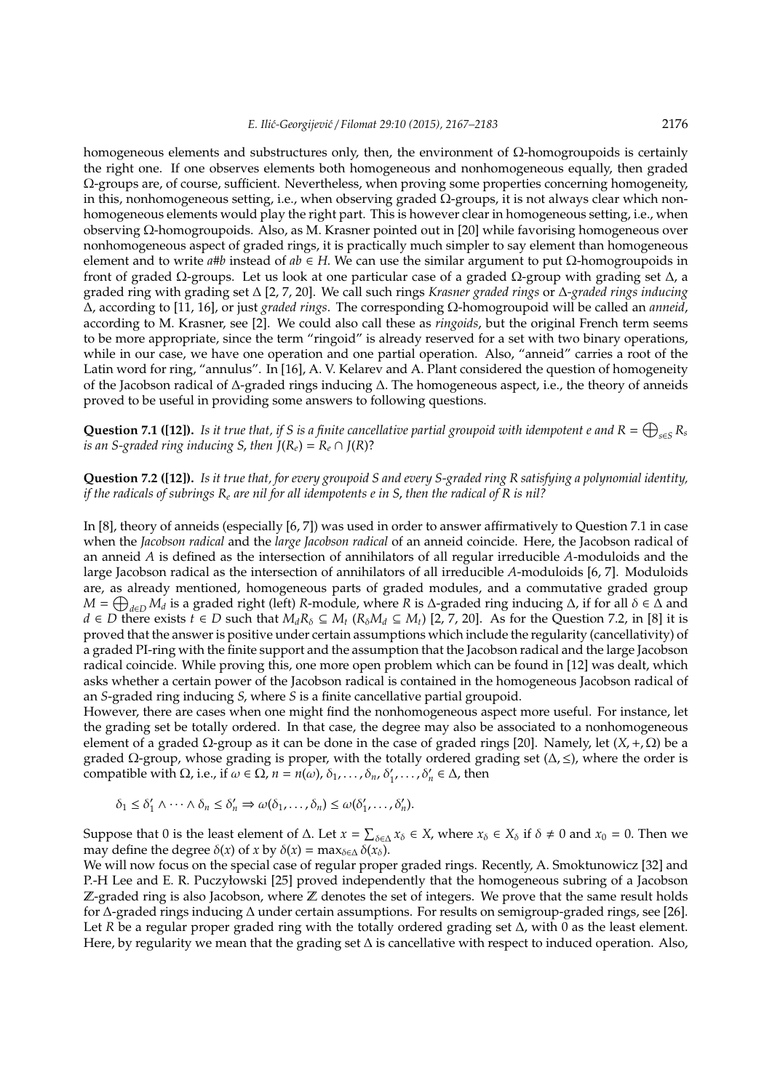homogeneous elements and substructures only, then, the environment of  $Ω$ -homogroupoids is certainly the right one. If one observes elements both homogeneous and nonhomogeneous equally, then graded Ω-groups are, of course, sufficient. Nevertheless, when proving some properties concerning homogeneity, in this, nonhomogeneous setting, i.e., when observing graded Ω-groups, it is not always clear which nonhomogeneous elements would play the right part. This is however clear in homogeneous setting, i.e., when observing Ω-homogroupoids. Also, as M. Krasner pointed out in [20] while favorising homogeneous over nonhomogeneous aspect of graded rings, it is practically much simpler to say element than homogeneous element and to write *a*#*b* instead of *ab* ∈ *H*. We can use the similar argument to put Ω-homogroupoids in front of graded Ω-groups. Let us look at one particular case of a graded Ω-group with grading set ∆, a graded ring with grading set ∆ [2, 7, 20]. We call such rings *Krasner graded rings* or ∆*-graded rings inducing* ∆, according to [11, 16], or just *graded rings*. The corresponding Ω-homogroupoid will be called an *anneid*, according to M. Krasner, see [2]. We could also call these as *ringoids*, but the original French term seems to be more appropriate, since the term "ringoid" is already reserved for a set with two binary operations, while in our case, we have one operation and one partial operation. Also, "anneid" carries a root of the Latin word for ring, "annulus". In [16], A. V. Kelarev and A. Plant considered the question of homogeneity of the Jacobson radical of ∆-graded rings inducing ∆. The homogeneous aspect, i.e., the theory of anneids proved to be useful in providing some answers to following questions.

**Question 7.1 ([12]).** Is it true that, if S is a finite cancellative partial groupoid with idempotent e and  $R = \bigoplus_{s \in S} R_s$ *is an S-graded ring inducing S, then*  $J(R_e) = R_e \cap J(R)$ ?

**Question 7.2 ([12]).** *Is it true that, for every groupoid S and every S-graded ring R satisfying a polynomial identity, if the radicals of subrings R<sup>e</sup> are nil for all idempotents e in S*, *then the radical of R is nil?*

In [8], theory of anneids (especially [6, 7]) was used in order to answer affirmatively to Question 7.1 in case when the *Jacobson radical* and the *large Jacobson radical* of an anneid coincide. Here, the Jacobson radical of an anneid *A* is defined as the intersection of annihilators of all regular irreducible *A*-moduloids and the large Jacobson radical as the intersection of annihilators of all irreducible *A*-moduloids [6, 7]. Moduloids are, as already mentioned, homogeneous parts of graded modules, and a commutative graded group *M* =  $\bigoplus_{d \in D} M_d$  is a graded right (left) *R*-module, where *R* is ∆-graded ring inducing ∆, if for all  $\delta \in \Delta$  and *d* ∈ *D* there exists *t* ∈ *D* such that  $M_dR_{\delta} \subseteq M_t$  ( $R_{\delta}M_d \subseteq M_t$ ) [2, 7, 20]. As for the Question 7.2, in [8] it is proved that the answer is positive under certain assumptions which include the regularity (cancellativity) of a graded PI-ring with the finite support and the assumption that the Jacobson radical and the large Jacobson radical coincide. While proving this, one more open problem which can be found in [12] was dealt, which asks whether a certain power of the Jacobson radical is contained in the homogeneous Jacobson radical of an *S*-graded ring inducing *S*, where *S* is a finite cancellative partial groupoid.

However, there are cases when one might find the nonhomogeneous aspect more useful. For instance, let the grading set be totally ordered. In that case, the degree may also be associated to a nonhomogeneous element of a graded Ω-group as it can be done in the case of graded rings [20]. Namely, let (*X*,+, Ω) be a graded  $\Omega$ -group, whose grading is proper, with the totally ordered grading set  $(\Delta, \leq)$ , where the order is compatible with  $\Omega$ , i.e., if  $\omega \in \Omega$ ,  $n = n(\omega)$ ,  $\delta_1, \ldots, \delta_n$ ,  $\delta'_1, \ldots, \delta'_n \in \Delta$ , then

$$
\delta_1 \leq \delta'_1 \wedge \cdots \wedge \delta_n \leq \delta'_n \Rightarrow \omega(\delta_1, \ldots, \delta_n) \leq \omega(\delta'_1, \ldots, \delta'_n).
$$

Suppose that 0 is the least element of  $\Delta$ . Let  $x = \sum_{\delta \in \Delta} x_{\delta} \in X$ , where  $x_{\delta} \in X_{\delta}$  if  $\delta \neq 0$  and  $x_0 = 0$ . Then we may define the degree  $\delta(x)$  of *x* by  $\delta(x) = \max_{\delta \in \Delta} \delta(x_{\delta})$ .

We will now focus on the special case of regular proper graded rings. Recently, A. Smoktunowicz [32] and P.-H Lee and E. R. Puczyłowski [25] proved independently that the homogeneous subring of a Jacobson  $\mathbb Z$ -graded ring is also Jacobson, where  $\mathbb Z$  denotes the set of integers. We prove that the same result holds for ∆-graded rings inducing ∆ under certain assumptions. For results on semigroup-graded rings, see [26]. Let *R* be a regular proper graded ring with the totally ordered grading set ∆, with 0 as the least element. Here, by regularity we mean that the grading set ∆ is cancellative with respect to induced operation. Also,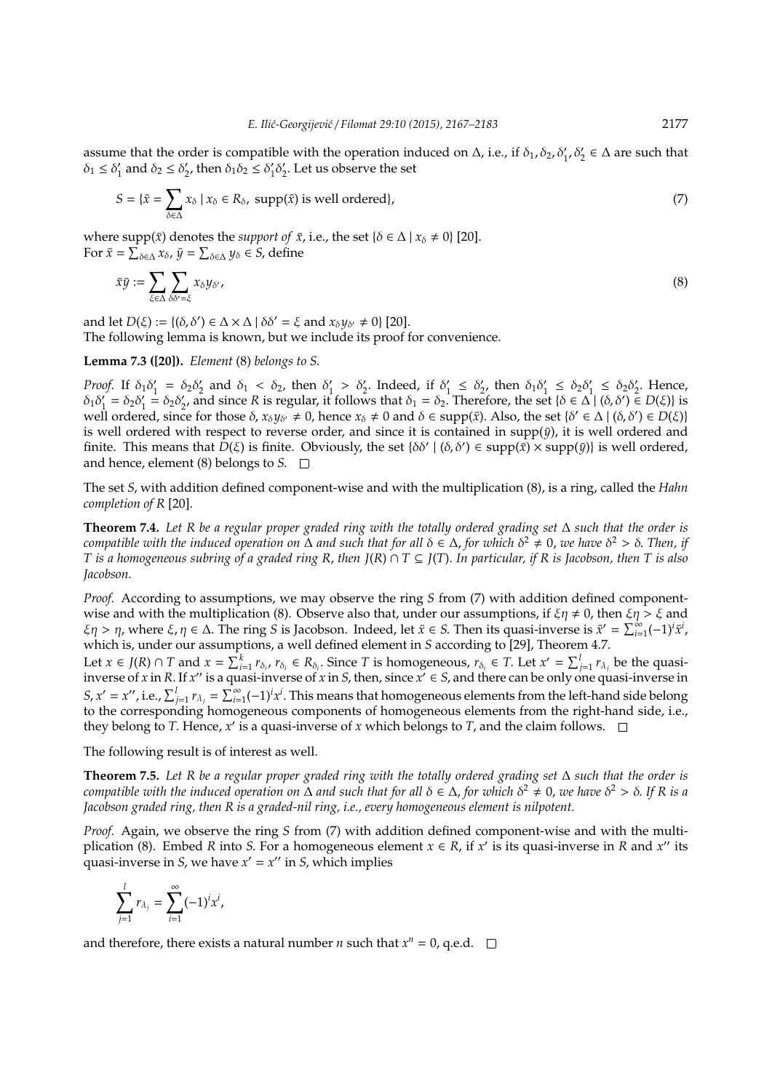assume that the order is compatible with the operation induced on  $\Delta$ , i.e., if  $\delta_1$ ,  $\delta_2$ ,  $\delta'_1$ ,  $\delta'_2 \in \Delta$  are such that  $\delta_1 \leq \delta_1'$  $\delta_1'$  and  $\delta_2 \leq \delta_2'$ '<sub>2</sub>, then  $\delta_1 \delta_2 \leq \delta_1'$  $\frac{1}{2}\delta_2'$  $y_2'$ . Let us observe the set

$$
S = \{ \bar{x} = \sum_{\delta \in \Delta} x_{\delta} \mid x_{\delta} \in R_{\delta}, \text{ supp}(\bar{x}) \text{ is well ordered} \},\tag{7}
$$

where  $\text{supp}(\bar{x})$  denotes the *support of*  $\bar{x}$ , i.e., the set { $\delta \in \Delta \mid x_{\delta} \neq 0$ } [20]. For  $\bar{x} = \sum_{\delta \in \Delta} x_{\delta}$ ,  $\bar{y} = \sum_{\delta \in \Delta} y_{\delta} \in S$ , define

$$
\bar{x}\bar{y} := \sum_{\xi \in \Delta} \sum_{\delta \delta' = \xi} x_{\delta} y_{\delta'},\tag{8}
$$

and let  $D(\xi) := \{(\delta, \delta') \in \Delta \times \Delta \mid \delta \delta' = \xi \text{ and } x_{\delta} y_{\delta'} \neq 0\}$  [20]. The following lemma is known, but we include its proof for convenience.

**Lemma 7.3 ([20]).** *Element* (8) *belongs to S*.

*Proof.* If  $\delta_1 \delta_1'$  $\delta_1 = \delta_2 \delta_2'$  $\delta_2$  and  $\delta_1 < \delta_2$ , then  $\delta_1$  $\gamma_1 > \delta_2'$ . Indeed, if  $\delta_1'$  $\frac{1}{1} \leq \delta_2'$  $v'_2$ , then  $\delta_1 \delta'_1$  $\zeta_1 \leq \delta_2 \delta_1$  $\zeta_1 \leq \delta_2 \delta_2'$  $\frac{1}{2}$ . Hence,  $\delta_1 \delta_1'$  $i_1 = \delta_2 \delta_1'$  $i = \delta_2 \delta'_2$  $\delta_2$ , and since *R* is regular, it follows that  $\delta_1 = \delta_2$ . Therefore, the set {δ ∈ ∆ | (δ, δ') ∈ *D*(ξ)} is well ordered, since for those  $\delta$ ,  $x_{\delta}y_{\delta'} \neq 0$ , hence  $x_{\delta} \neq 0$  and  $\delta \in \text{supp}(\bar{x})$ . Also, the set  $\{\delta' \in \Delta \mid (\delta, \delta') \in D(\xi)\}$ is well ordered with respect to reverse order, and since it is contained in  $supp(\bar{y})$ , it is well ordered and finite. This means that  $\dot{D}(\xi)$  is finite. Obviously, the set  $\{\delta\delta' \mid (\delta,\delta') \in \text{supp}(\bar{x}) \times \text{supp}(\bar{y})\}$  is well ordered, and hence, element (8) belongs to *S*.

The set *S*, with addition defined component-wise and with the multiplication (8), is a ring, called the *Hahn completion of R* [20].

**Theorem 7.4.** *Let R be a regular proper graded ring with the totally ordered grading set* ∆ *such that the order is compatible with the induced operation on* Δ and such that for all  $\delta \in \Delta$ , for which  $\delta^2 \neq 0$ , we have  $\delta^2 > \delta$ . Then, if *T is a homogeneous subring of a graded ring R*, *then J*(*R*) ∩ *T* ⊆ *J*(*T*). *In particular, if R is Jacobson, then T is also Jacobson.*

*Proof.* According to assumptions, we may observe the ring *S* from (7) with addition defined componentwise and with the multiplication (8). Observe also that, under our assumptions, if  $\xi \eta \neq 0$ , then  $\xi \eta > \xi$  and  $\xi \eta > \eta$ , where  $\xi, \eta \in \Delta$ . The ring *S* is Jacobson. Indeed, let  $\bar{x} \in S$ . Then its quasi-inverse is  $\bar{x}' = \sum_{i=1}^{\infty} (-1)^i \bar{x}^i$ , which is, under our assumptions, a well defined element in *S* according to [29], Theorem 4.7.

Let  $x \in J(R) \cap T$  and  $x = \sum_{i=1}^{k} r_{\delta_i}$ ,  $r_{\delta_i} \in R_{\delta_i}$ . Since T is homogeneous,  $r_{\delta_i} \in T$ . Let  $x' = \sum_{j=1}^{l} r_{\lambda_j}$  be the quasiinverse of *x* in *R*. If *x*<sup>*''*</sup> is a quasi-inverse of *x* in *S*, then, since  $x' \in S$ , and there can be only one quasi-inverse in *S*,  $x' = x''$ , i.e.,  $\sum_{j=1}^{l} r_{\lambda_j} = \sum_{i=1}^{\infty} (-1)^i x^i$ . This means that homogeneous elements from the left-hand side belong to the corresponding homogeneous components of homogeneous elements from the right-hand side, i.e., they belong to *T*. Hence,  $x'$  is a quasi-inverse of  $x$  which belongs to *T*, and the claim follows.

The following result is of interest as well.

**Theorem 7.5.** *Let R be a regular proper graded ring with the totally ordered grading set* ∆ *such that the order is*  $l$  *compatible with the induced operation on* Δ and such that for all  $\delta \in \Delta$ , for which  $\delta^2 \neq 0$ , we have  $\delta^2 > \delta$ . If R is a *Jacobson graded ring, then R is a graded-nil ring, i.e., every homogeneous element is nilpotent.*

*Proof.* Again, we observe the ring *S* from (7) with addition defined component-wise and with the multiplication (8). Embed *R* into *S*. For a homogeneous element  $x \in R$ , if  $x'$  is its quasi-inverse in *R* and  $x''$  its quasi-inverse in *S*, we have  $x' = x''$  in *S*, which implies

$$
\sum_{j=1}^l r_{\lambda_j} = \sum_{i=1}^\infty (-1)^i x^i,
$$

and therefore, there exists a natural number *n* such that  $x^n = 0$ , q.e.d.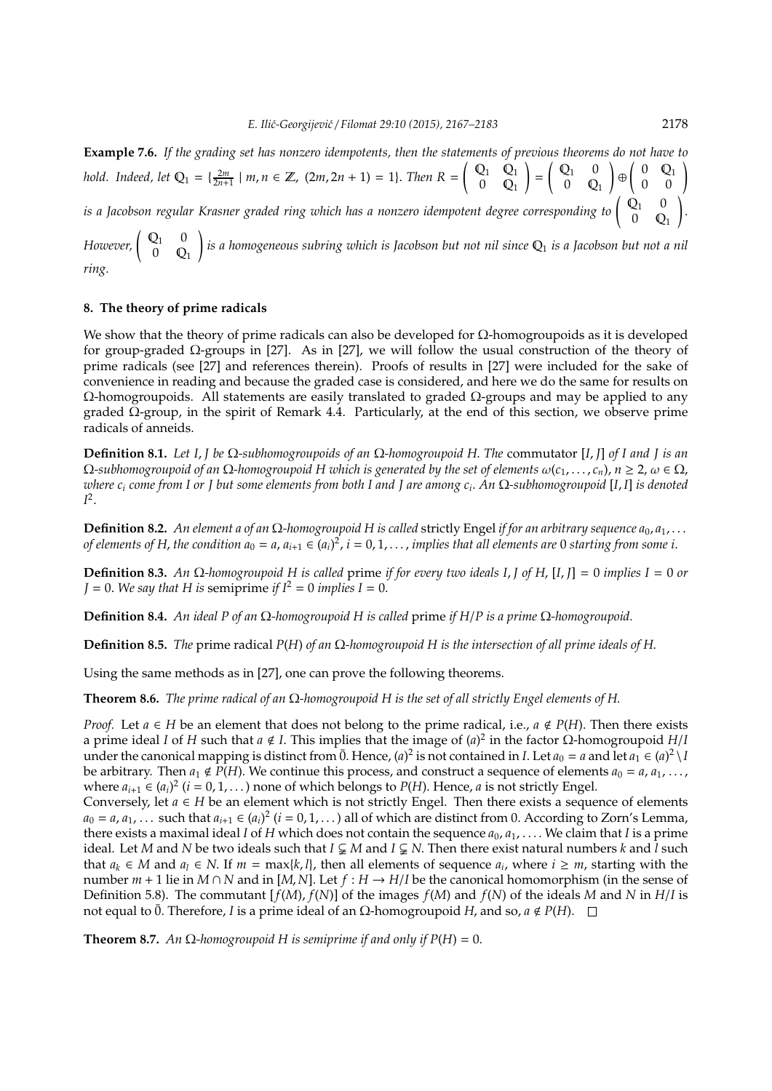**Example 7.6.** *If the grading set has nonzero idempotents, then the statements of previous theorems do not have to hold.* Indeed, let  $Q_1 = \{\frac{2m}{2n+1} \mid m, n \in \mathbb{Z}, (2m, 2n+1) = 1\}$ . *Then*  $R = \begin{pmatrix} Q_1 & Q_1 \\ 0 & Q_1 \end{pmatrix}$  $0 \quad \mathbb{Q}_1$ ! =  $\left( \begin{array}{cc} \mathbb{Q}_1 & 0 \end{array} \right)$  $0 \quad \mathbb{Q}_1$  $\Theta\left(\begin{array}{cc} 0 & \mathbb{Q}_1 \ 0 & 0 \end{array}\right)$ *is a Jacobson regular Krasner graded ring which has a nonzero idempotent degree corresponding to* Q<sup>1</sup> 0  $0 \quad Q_1$ ! .

*However*,  $\begin{pmatrix} Q_1 & 0 \\ 0 & Q_2 \end{pmatrix}$  $0 \quad \mathbb{Q}_1$ ! *is a homogeneous subring which is Jacobson but not nil since* Q<sup>1</sup> *is a Jacobson but not a nil ring.*

### **8. The theory of prime radicals**

We show that the theory of prime radicals can also be developed for  $\Omega$ -homogroupoids as it is developed for group-graded Ω-groups in [27]. As in [27], we will follow the usual construction of the theory of prime radicals (see [27] and references therein). Proofs of results in [27] were included for the sake of convenience in reading and because the graded case is considered, and here we do the same for results on Ω-homogroupoids. All statements are easily translated to graded Ω-groups and may be applied to any graded Ω-group, in the spirit of Remark 4.4. Particularly, at the end of this section, we observe prime radicals of anneids.

**Definition 8.1.** *Let I*, *J be* Ω*-subhomogroupoids of an* Ω*-homogroupoid H*. *The* commutator [*I*, *J*] *of I and J is an*  $Ω$ -subhomogroupoid of an  $Ω$ -homogroupoid H which is generated by the set of elements  $ω(c_1, ..., c_n)$ ,  $n ≥ 2$ ,  $ω ∈ Ω$ , *where c<sup>i</sup> come from I or J but some elements from both I and J are among c<sup>i</sup>* . *An* Ω*-subhomogroupoid* [*I*, *I*] *is denoted I* 2 .

**Definition 8.2.** *An element a of an* Ω*-homogroupoid H is called* strictly Engel *if for an arbitrary sequence a*0, *a*1, . . . *of elements of H, the condition*  $a_0 = a$ *,*  $a_{i+1} \in (a_i)^2$ *,*  $i = 0, 1, \ldots$ *, implies that all elements are 0 starting from some i.* 

**Definition 8.3.** *An* Ω*-homogroupoid H is called* prime *if for every two ideals I*, *J of H*, [*I*, *J*] = 0 *implies I* = 0 *or*  $J = 0$ *. We say that H is semiprime if*  $I^2 = 0$  *implies*  $I = 0$ *.* 

**Definition 8.4.** *An ideal P of an* Ω*-homogroupoid H is called* prime *if H*/*P is a prime* Ω*-homogroupoid.*

**Definition 8.5.** *The* prime radical *P*(*H*) *of an* Ω*-homogroupoid H is the intersection of all prime ideals of H*.

Using the same methods as in [27], one can prove the following theorems.

**Theorem 8.6.** *The prime radical of an* Ω*-homogroupoid H is the set of all strictly Engel elements of H*.

*Proof.* Let  $a \in H$  be an element that does not belong to the prime radical, i.e.,  $a \notin P(H)$ . Then there exists a prime ideal *I* of *H* such that *a* < *I*. This implies that the image of (*a*) 2 in the factor Ω-homogroupoid *H*/*I* under the canonical mapping is distinct from  $\bar{0}$ . Hence,  $(a)^2$  is not contained in *I*. Let  $a_0 = a$  and let  $a_1 \in (a)^2 \setminus I$ be arbitrary. Then  $a_1 \notin \overline{P(H)}$ . We continue this process, and construct a sequence of elements  $a_0 = a, a_1, \ldots$ , where  $a_{i+1} \in (a_i)^2$  ( $i = 0, 1, ...$ ) none of which belongs to  $P(H)$ . Hence, *a* is not strictly Engel. Conversely, let  $a \in H$  be an element which is not strictly Engel. Then there exists a sequence of elements  $a_0 = a, a_1, \ldots$  such that  $a_{i+1} \in (a_i)^2$  ( $i = 0, 1, \ldots$ ) all of which are distinct from 0. According to Zorn's Lemma, there exists a maximal ideal *I* of *H* which does not contain the sequence  $a_0, a_1, \ldots$ . We claim that *I* is a prime ideal. Let *M* and *N* be two ideals such that  $I \subsetneq M$  and  $I \subsetneq N$ . Then there exist natural numbers *k* and  $\overline{I}$  such that  $a_k \in M$  and  $a_l \in N$ . If  $m = \max\{k, l\}$ , then all elements of sequence  $a_i$ , where  $i \geq m$ , starting with the number  $m + 1$  lie in  $M \cap N$  and in [*M*, *N*]. Let  $f : H \to H/I$  be the canonical homomorphism (in the sense of Definition 5.8). The commutant  $[f(M), f(N)]$  of the images  $f(M)$  and  $f(N)$  of the ideals *M* and *N* in  $H/I$  is not equal to  $\bar{0}$ . Therefore, *I* is a prime ideal of an Ω-homogroupoid *H*, and so, *a* ∉ *P*(*H*). □

**Theorem 8.7.** *An*  $\Omega$ *-homogroupoid H* is semiprime if and only if  $P(H) = 0$ .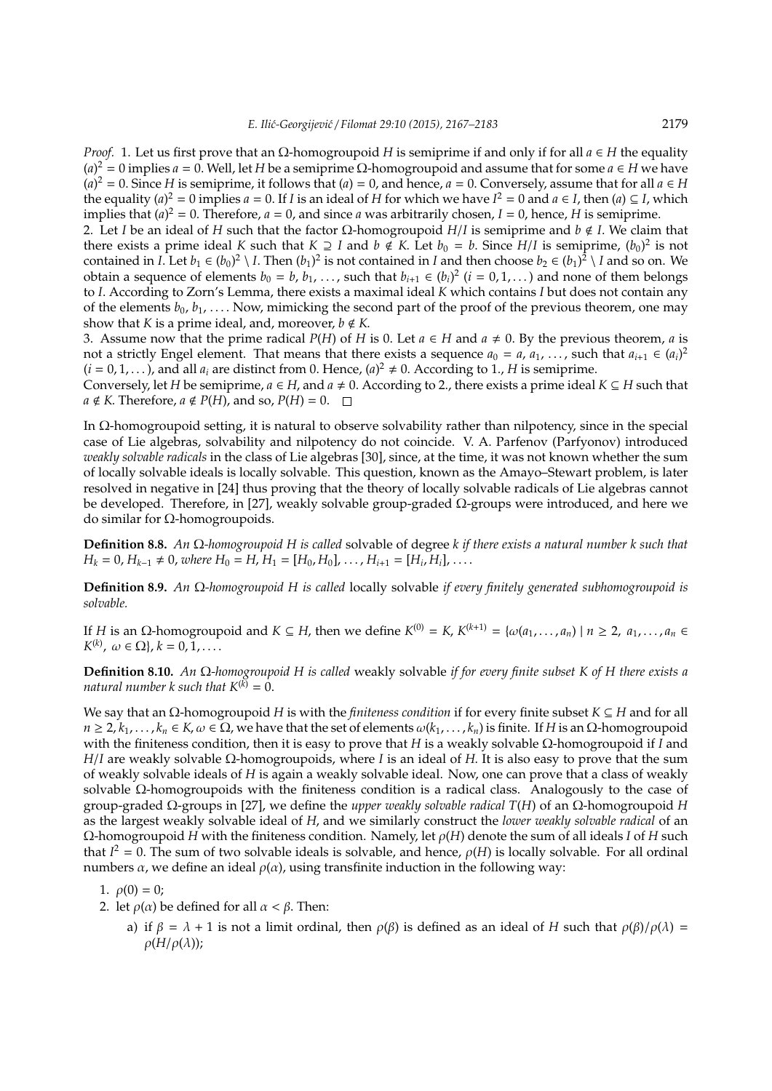*Proof.* 1. Let us first prove that an Ω-homogroupoid *H* is semiprime if and only if for all *a* ∈ *H* the equality  $(a)^2 = 0$  implies  $a = 0$ . Well, let *H* be a semiprime  $\Omega$ -homogroupoid and assume that for some  $a \in H$  we have  $(a)^2 = 0$ . Since *H* is semiprime, it follows that  $(a) = 0$ , and hence,  $a = 0$ . Conversely, assume that for all  $a \in H$ the equality  $(a)^2 = 0$  implies  $a = 0$ . If *I* is an ideal of *H* for which we have  $I^2 = 0$  and  $a \in I$ , then  $(a) \subseteq I$ , which implies that  $(a)^2 = 0$ . Therefore,  $a = 0$ , and since *a* was arbitrarily chosen,  $I = 0$ , hence, *H* is semiprime.

2. Let *I* be an ideal of *H* such that the factor Ω-homogroupoid *H*/*I* is semiprime and *b* < *I*. We claim that there exists a prime ideal *K* such that  $K \supseteq I$  and  $b \notin K$ . Let  $b_0 = b$ . Since  $H/I$  is semiprime,  $(b_0)^2$  is not contained in *I*. Let  $b_1 \in (b_0)^2 \setminus I$ . Then  $(b_1)^2$  is not contained in *I* and then choose  $b_2 \in (b_1)^2 \setminus I$  and so on. We obtain a sequence of elements  $b_0 = b$ ,  $b_1$ , ..., such that  $b_{i+1} \in (b_i)^2$   $(i = 0, 1, ...)$  and none of them belongs to *I*. According to Zorn's Lemma, there exists a maximal ideal *K* which contains *I* but does not contain any of the elements  $b_0, b_1, \ldots$ . Now, mimicking the second part of the proof of the previous theorem, one may show that *K* is a prime ideal, and, moreover,  $b \notin K$ .

3. Assume now that the prime radical *P*(*H*) of *H* is 0. Let  $a \in H$  and  $a \neq 0$ . By the previous theorem, *a* is not a strictly Engel element. That means that there exists a sequence  $a_0 = a, a_1, \ldots$ , such that  $a_{i+1} \in (a_i)^2$  $(i = 0, 1, ...)$ , and all  $a_i$  are distinct from 0. Hence,  $(a)^2 \neq 0$ . According to 1., *H* is semiprime.

Conversely, let *H* be semiprime,  $a \in H$ , and  $a \neq 0$ . According to 2., there exists a prime ideal  $K \subseteq H$  such that  $a \notin K$ . Therefore,  $a \notin P(H)$ , and so,  $P(H) = 0$ .  $\Box$ 

In Ω-homogroupoid setting, it is natural to observe solvability rather than nilpotency, since in the special case of Lie algebras, solvability and nilpotency do not coincide. V. A. Parfenov (Parfyonov) introduced *weakly solvable radicals* in the class of Lie algebras [30], since, at the time, it was not known whether the sum of locally solvable ideals is locally solvable. This question, known as the Amayo–Stewart problem, is later resolved in negative in [24] thus proving that the theory of locally solvable radicals of Lie algebras cannot be developed. Therefore, in [27], weakly solvable group-graded Ω-groups were introduced, and here we do similar for Ω-homogroupoids.

**Definition 8.8.** *An* Ω*-homogroupoid H is called* solvable of degree *k if there exists a natural number k such that*  $H_k = 0$ ,  $H_{k-1} \neq 0$ , *where*  $H_0 = H$ ,  $H_1 = [H_0, H_0]$ , ...,  $H_{i+1} = [H_i, H_i]$ , ...

**Definition 8.9.** *An* Ω*-homogroupoid H is called* locally solvable *if every finitely generated subhomogroupoid is solvable.*

If *H* is an Ω-homogroupoid and *K* ⊆ *H*, then we define *K*<sup>(0)</sup> = *K*, *K*<sup>(*k*+1)</sup> = {ω(*a*<sub>1</sub>, . . . , *a*<sub>*n*</sub>) | *n* ≥ 2, *a*<sub>1</sub>, . . . , *a*<sub>*n*</sub> ∈  $K^{(k)}$ ,  $\omega \in \Omega$ ,  $k = 0, 1, \ldots$ 

**Definition 8.10.** *An* Ω*-homogroupoid H is called* weakly solvable *if for every finite subset K of H there exists a natural number k such that*  $K^{(k)} = 0$ .

We say that an Ω-homogroupoid *H* is with the *finiteness condition* if for every finite subset *K* ⊆ *H* and for all  $n \ge 2, k_1, \ldots, k_n \in K$ ,  $\omega \in \Omega$ , we have that the set of elements  $\omega(k_1, \ldots, k_n)$  is finite. If *H* is an  $\Omega$ -homogroupoid with the finiteness condition, then it is easy to prove that *H* is a weakly solvable Ω-homogroupoid if *I* and *H*/*I* are weakly solvable Ω-homogroupoids, where *I* is an ideal of *H*. It is also easy to prove that the sum of weakly solvable ideals of *H* is again a weakly solvable ideal. Now, one can prove that a class of weakly solvable Ω-homogroupoids with the finiteness condition is a radical class. Analogously to the case of group-graded Ω-groups in [27], we define the *upper weakly solvable radical T*(*H*) of an Ω-homogroupoid *H* as the largest weakly solvable ideal of *H*, and we similarly construct the *lower weakly solvable radical* of an Ω-homogroupoid *H* with the finiteness condition. Namely, let ρ(*H*) denote the sum of all ideals *I* of *H* such that  $I^2 = 0$ . The sum of two solvable ideals is solvable, and hence,  $\rho(H)$  is locally solvable. For all ordinal numbers  $\alpha$ , we define an ideal  $\rho(\alpha)$ , using transfinite induction in the following way:

1. 
$$
\rho(0) = 0;
$$

- 2. let  $\rho(\alpha)$  be defined for all  $\alpha < \beta$ . Then:
	- a) if  $\beta = \lambda + 1$  is not a limit ordinal, then  $\rho(\beta)$  is defined as an ideal of *H* such that  $\rho(\beta)/\rho(\lambda)$  =  $\rho(H/\rho(\lambda))$ ;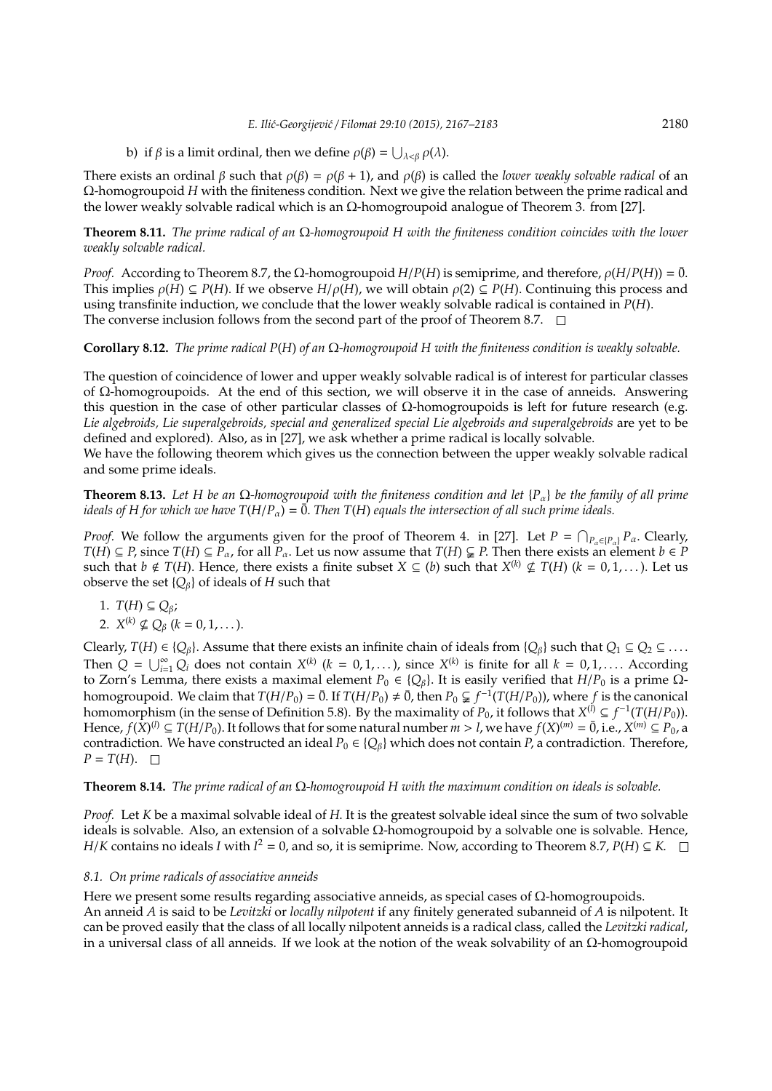b) if  $\beta$  is a limit ordinal, then we define  $\rho(\beta) = \bigcup_{\lambda < \beta} \rho(\lambda)$ .

There exists an ordinal  $\beta$  such that  $\rho(\beta) = \rho(\beta + 1)$ , and  $\rho(\beta)$  is called the *lower weakly solvable radical* of an Ω-homogroupoid *H* with the finiteness condition. Next we give the relation between the prime radical and the lower weakly solvable radical which is an  $Ω$ -homogroupoid analogue of Theorem 3. from [27].

**Theorem 8.11.** *The prime radical of an* Ω*-homogroupoid H with the finiteness condition coincides with the lower weakly solvable radical.*

*Proof.* According to Theorem 8.7, the Ω-homogroupoid  $H/P(H)$  is semiprime, and therefore,  $ρ(H/P(H)) = 0$ . This implies  $\rho(H) \subseteq P(H)$ . If we observe  $H/\rho(H)$ , we will obtain  $\rho(2) \subseteq P(H)$ . Continuing this process and using transfinite induction, we conclude that the lower weakly solvable radical is contained in *P*(*H*). The converse inclusion follows from the second part of the proof of Theorem 8.7.  $\Box$ 

**Corollary 8.12.** *The prime radical P*(*H*) *of an* Ω*-homogroupoid H with the finiteness condition is weakly solvable.*

The question of coincidence of lower and upper weakly solvable radical is of interest for particular classes of Ω-homogroupoids. At the end of this section, we will observe it in the case of anneids. Answering this question in the case of other particular classes of  $Ω$ -homogroupoids is left for future research (e.g. *Lie algebroids, Lie superalgebroids, special and generalized special Lie algebroids and superalgebroids* are yet to be defined and explored). Also, as in [27], we ask whether a prime radical is locally solvable.

We have the following theorem which gives us the connection between the upper weakly solvable radical and some prime ideals.

**Theorem 8.13.** *Let H be an* Ω*-homogroupoid with the finiteness condition and let* {*P*α} *be the family of all prime ideals of H for which we have*  $T(H/P_\alpha) = \overline{0}$ . *Then*  $T(H)$  *equals the intersection of all such prime ideals.* 

*Proof.* We follow the arguments given for the proof of Theorem 4. in [27]. Let  $P = \bigcap_{P_\alpha \in \{P_\alpha\}} P_\alpha$ . Clearly, *T*(*H*) ⊆ *P*, since *T*(*H*) ⊆  $\tilde{P}_{\alpha}$ , for all  $\tilde{P}_{\alpha}$ . Let us now assume that *T*(*H*) ⊊ *P*. Then there exists an element *b* ∈ *P* such that  $b \notin T(H)$ . Hence, there exists a finite subset  $X \subseteq (b)$  such that  $X^{(k)} \nsubseteq T(H)$  ( $k = 0, 1, ...$ ). Let us observe the set  ${Q_\beta}$  of ideals of *H* such that

- 1.  $T(H) \subseteq Q_{\beta}$ ;
- 2.  $X^{(k)} \nsubseteq Q_{\beta}$  ( $k = 0, 1, ...$ ).

Clearly,  $T(H) \in \{Q_\beta\}$ . Assume that there exists an infinite chain of ideals from  $\{Q_\beta\}$  such that  $Q_1 \subseteq Q_2 \subseteq \ldots$ . Then  $Q = \bigcup_{i=1}^{\infty} Q_i$  does not contain  $X^{(k)}$   $(k = 0, 1, \ldots)$ , since  $X^{(k)}$  is finite for all  $k = 0, 1, \ldots$ . According to Zorn's Lemma, there exists a maximal element  $P_0 \in \{Q_\beta\}$ . It is easily verified that  $H/P_0$  is a prime  $\Omega$ homogroupoid. We claim that  $T(H/P_0) = \bar{0}$ . If  $T(H/P_0) \neq \bar{0}$ , then  $P_0 \subsetneqq f^{-1}(T(H/P_0))$ , where  $f$  is the canonical homomorphism (in the sense of Definition 5.8). By the maximality of  $P_0$ , it follows that  $X^{(l)} \subseteq f^{-1}(T(H/P_0))$ . Hence,  $f(X)^{(n)} \subseteq T(H/P_0)$ . It follows that for some natural number  $m > l$ , we have  $f(X)^{(m)} = \overline{0}$ , i.e.,  $X^{(m)} \subseteq P_0$ , a contradiction. We have constructed an ideal  $P_0 \in \{Q_\beta\}$  which does not contain *P*, a contradiction. Therefore,  $P = T(H)$ .  $\Box$ 

**Theorem 8.14.** *The prime radical of an* Ω*-homogroupoid H with the maximum condition on ideals is solvable.*

*Proof.* Let *K* be a maximal solvable ideal of *H*. It is the greatest solvable ideal since the sum of two solvable ideals is solvable. Also, an extension of a solvable Ω-homogroupoid by a solvable one is solvable. Hence, *H*/*K* contains no ideals *I* with  $I^2 = 0$ , and so, it is semiprime. Now, according to Theorem 8.7,  $P(H) \subseteq K$ .

### *8.1. On prime radicals of associative anneids*

Here we present some results regarding associative anneids, as special cases of  $\Omega$ -homogroupoids. An anneid *A* is said to be *Levitzki* or *locally nilpotent* if any finitely generated subanneid of *A* is nilpotent. It can be proved easily that the class of all locally nilpotent anneids is a radical class, called the *Levitzki radical*, in a universal class of all anneids. If we look at the notion of the weak solvability of an  $\Omega$ -homogroupoid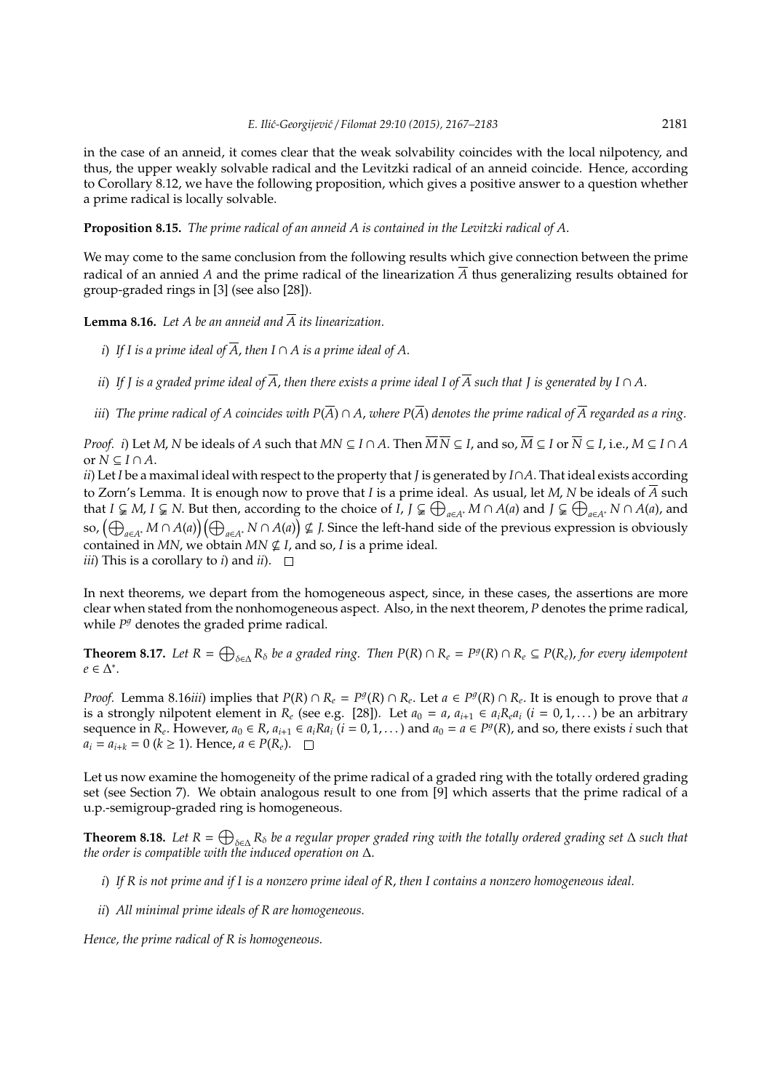in the case of an anneid, it comes clear that the weak solvability coincides with the local nilpotency, and thus, the upper weakly solvable radical and the Levitzki radical of an anneid coincide. Hence, according to Corollary 8.12, we have the following proposition, which gives a positive answer to a question whether a prime radical is locally solvable.

**Proposition 8.15.** *The prime radical of an anneid A is contained in the Levitzki radical of A*.

We may come to the same conclusion from the following results which give connection between the prime radical of an annied *A* and the prime radical of the linearization  $\overline{A}$  thus generalizing results obtained for group-graded rings in [3] (see also [28]).

**Lemma 8.16.** Let A be an anneid and  $\overline{A}$  its linearization.

- *i*) If I is a prime ideal of  $\overline{A}$ , then I  $\cap$  A is a prime ideal of A.
- *ii*) If *J* is a graded prime ideal of  $\overline{A}$ , then there exists a prime ideal I of  $\overline{A}$  such that *J* is generated by  $I \cap A$ .
- *iii*) The prime radical of A coincides with  $P(\overline{A}) \cap A$ , where  $P(\overline{A})$  denotes the prime radical of  $\overline{A}$  regarded as a ring.

*Proof. i*) Let *M*, *N* be ideals of *A* such that *MN*  $\subseteq$  *I*  $\cap$  *A*. Then  $\overline{M}$   $\overline{N}$   $\subseteq$  *I*, and so,  $\overline{M}$   $\subseteq$  *I* or  $\overline{N}$   $\subseteq$  *I*, i.e., *M*  $\subseteq$  *I* $\cap$  *A* or  $N \subseteq I \cap A$ .

*ii*) Let *I* be a maximal ideal with respect to the property that *J* is generated by *I*∩*A*. That ideal exists according to Zorn's Lemma. It is enough now to prove that *I* is a prime ideal. As usual, let *M*, *N* be ideals of  $\overline{A}$  such that  $I \subsetneq M$ ,  $I \subsetneq N$ . But then, according to the choice of  $\overline{I}$ ,  $J \subsetneq \bigoplus_{a \in A^*} M \cap A(a)$  and  $J \subsetneq \bigoplus_{a \in A^*} N \cap A(a)$ , and so,  $\bigoplus_{a\in A^*}M\cap A(a)\big)\bigoplus_{a\in A^*}N\cap A(a)\big)$ ⊈ *J*. Since the left-hand side of the previous expression is obviously contained in *MN*, we obtain  $MN \nsubseteq I$ , and so, *I* is a prime ideal. *iii*) This is a corollary to *i*) and *ii*).  $\Box$ 

In next theorems, we depart from the homogeneous aspect, since, in these cases, the assertions are more clear when stated from the nonhomogeneous aspect. Also, in the next theorem, *P* denotes the prime radical, while  $P<sup>g</sup>$  denotes the graded prime radical.

**Theorem 8.17.** Let  $R = \bigoplus_{\delta \in \Delta} R_{\delta}$  be a graded ring. Then  $P(R) \cap R_e = P^g(R) \cap R_e \subseteq P(R_e)$ , for every idempotent *e* ∈ ∆ ∗ .

*Proof.* Lemma 8.16*iii*) implies that  $P(R) \cap R_e = P^g(R) \cap R_e$ . Let  $a \in P^g(R) \cap R_e$ . It is enough to prove that a is a strongly nilpotent element in  $R_e$  (see e.g. [28]). Let  $a_0 = a$ ,  $a_{i+1} \in a_i R_e a_i$  ( $i = 0, 1, ...$ ) be an arbitrary sequence in  $R_e$ . However,  $a_0 \in R$ ,  $a_{i+1} \in a_i Ra_i$   $(i = 0, 1, ...)$  and  $a_0 = a \in P^g(R)$ , and so, there exists i such that *a*<sup>*i*</sup> = *a*<sup>*i*</sup>+*k* = 0 (*k* ≥ 1). Hence, *a* ∈ *P*(*R*<sup>*e*</sup>). □

Let us now examine the homogeneity of the prime radical of a graded ring with the totally ordered grading set (see Section 7). We obtain analogous result to one from [9] which asserts that the prime radical of a u.p.-semigroup-graded ring is homogeneous.

**Theorem 8.18.** Let  $R = \bigoplus_{\delta \in \Delta} R_{\delta}$  be a regular proper graded ring with the totally ordered grading set  $\Delta$  such that *the order is compatible with the induced operation on* ∆.

- *i*) *If R is not prime and if I is a nonzero prime ideal of R*, *then I contains a nonzero homogeneous ideal.*
- *ii*) *All minimal prime ideals of R are homogeneous.*

*Hence, the prime radical of R is homogeneous.*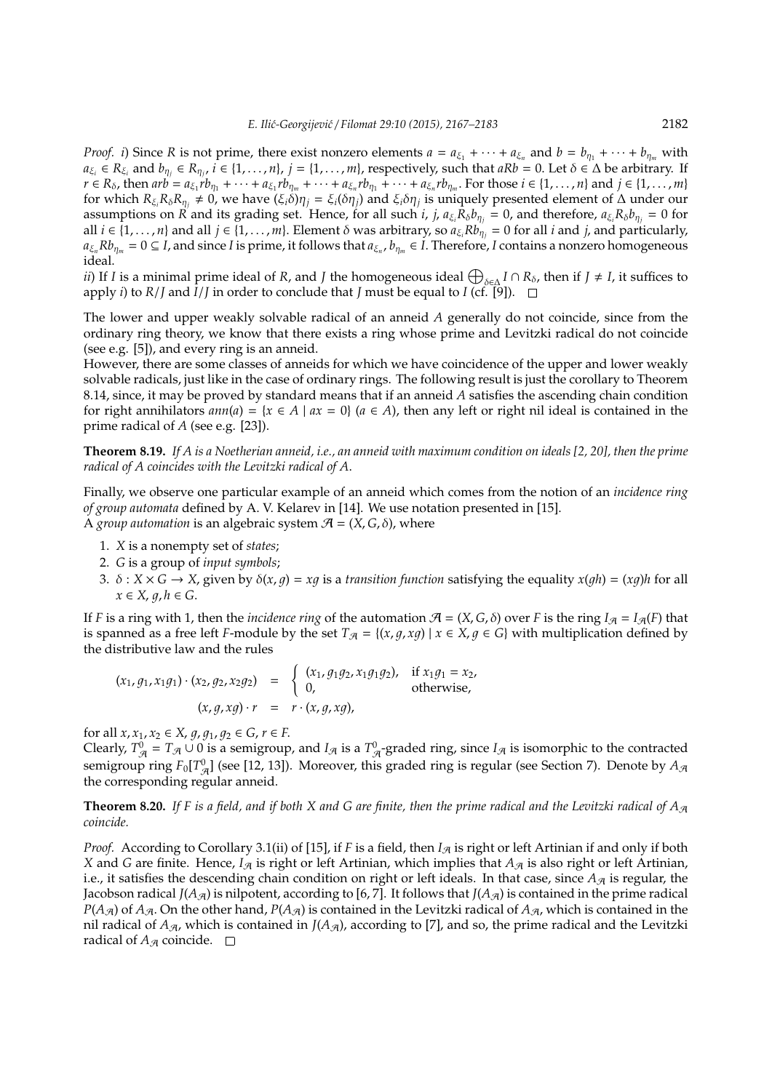*Proof. i*) Since *R* is not prime, there exist nonzero elements  $a = a_{\xi_1} + \cdots + a_{\xi_n}$  and  $b = b_{\eta_1} + \cdots + b_{\eta_m}$  with  $a_{\xi_i} \in R_{\xi_i}$  and  $b_{\eta_j} \in R_{\eta_j}$ ,  $i \in \{1, ..., n\}$ ,  $j = \{1, ..., m\}$ , respectively, such that  $aRb = 0$ . Let  $\delta \in \Delta$  be arbitrary. If  $r \in R_\delta$ , then  $arb = a_{\xi_1}rb_{\eta_1} + \cdots + a_{\xi_1}rb_{\eta_m} + \cdots + a_{\xi_n}rb_{\eta_1} + \cdots + a_{\xi_n}rb_{\eta_m}$ . For those  $i \in \{1,\ldots,n\}$  and  $j \in \{1,\ldots,m\}$ for which  $R_{\xi_i}R_\delta R_{\eta_j} \neq 0$ , we have  $(\xi_i\delta)\eta_j = \xi_i(\delta\eta_j)$  and  $\xi_i\delta\eta_j$  is uniquely presented element of  $\Delta$  under our assumptions on *R* and its grading set. Hence, for all such *i*, *j*,  $a_{\xi_i}R_{\delta}b_{\eta_j} = 0$ , and therefore,  $a_{\xi_i}R_{\delta}b_{\eta_j} = 0$  for all  $i \in \{1, \ldots, n\}$  and all  $j \in \{1, \ldots, m\}$ . Element  $\delta$  was arbitrary, so  $a_{\xi_i}Rb_{\eta_i} = 0$  for all  $i$  and  $j$ , and particularly,  $a_{\xi_n}Rb_{\eta_m}=0\subseteq I$ , and since *I* is prime, it follows that  $a_{\xi_n}$ ,  $b_{\eta_m}\in I$ . Therefore, *I* contains a nonzero homogeneous ideal.

*ii*) If *I* is a minimal prime ideal of *R*, and *J* the homogeneous ideal  $\bigoplus_{\delta \in \Delta} I \cap R_{\delta}$ , then if *J* ≠ *I*, it suffices to apply *i*) to *R*/*J* and  $\overline{I}/\overline{J}$  in order to conclude that *J* must be equal to *I* (cf. [9]).  $\Box$ 

The lower and upper weakly solvable radical of an anneid *A* generally do not coincide, since from the ordinary ring theory, we know that there exists a ring whose prime and Levitzki radical do not coincide (see e.g. [5]), and every ring is an anneid.

However, there are some classes of anneids for which we have coincidence of the upper and lower weakly solvable radicals, just like in the case of ordinary rings. The following result is just the corollary to Theorem 8.14, since, it may be proved by standard means that if an anneid *A* satisfies the ascending chain condition for right annihilators  $ann(a) = \{x \in A \mid ax = 0\}$   $(a \in A)$ , then any left or right nil ideal is contained in the prime radical of *A* (see e.g. [23]).

**Theorem 8.19.** *If A is a Noetherian anneid, i.e., an anneid with maximum condition on ideals [2, 20], then the prime radical of A coincides with the Levitzki radical of A*.

Finally, we observe one particular example of an anneid which comes from the notion of an *incidence ring of group automata* defined by A. V. Kelarev in [14]. We use notation presented in [15]. A *group automation* is an algebraic system  $\mathcal{A} = (X, G, \delta)$ , where

- 1. *X* is a nonempty set of *states*;
- 2. *G* is a group of *input symbols*;
- 3.  $\delta$  :  $X \times G \rightarrow X$ , given by  $\delta(x, q) = xq$  is a *transition function* satisfying the equality  $x(qh) = (xq)h$  for all  $x \in X$ ,  $q, h \in G$ .

If *F* is a ring with 1, then the *incidence ring* of the automation  $A = (X, G, \delta)$  over *F* is the ring  $I_A = I_A(F)$  that is spanned as a free left *F*-module by the set  $T_A = \{(x, q, xq) | x \in X, q \in G\}$  with multiplication defined by the distributive law and the rules

$$
(x_1, g_1, x_1g_1) \cdot (x_2, g_2, x_2g_2) = \begin{cases} (x_1, g_1g_2, x_1g_1g_2), & \text{if } x_1g_1 = x_2, \\ 0, & \text{otherwise,} \end{cases}
$$
  

$$
(x, g, xg) \cdot r = r \cdot (x, g, xg),
$$

for all  $x, x_1, x_2 \in X$ ,  $g, g_1, g_2 \in G$ ,  $r \in F$ .

Clearly,  $T_{A}^0 = T_A \cup 0$  is a semigroup, and  $I_A$  is a  $T_A^0$ -graded ring, since  $I_A$  is isomorphic to the contracted semigroup ring  $F_0[T_{\mathcal{A}}^0]$  (see [12, 13]). Moreover, this graded ring is regular (see Section 7). Denote by  $A_{\mathcal{A}}$ the corresponding regular anneid.

**Theorem 8.20.** If F is a field, and if both X and G are finite, then the prime radical and the Levitzki radical of  $A_{\mathcal{A}}$ *coincide.*

*Proof.* According to Corollary 3.1(ii) of [15], if *F* is a field, then  $I_{\mathcal{A}}$  is right or left Artinian if and only if both *X* and *G* are finite. Hence,  $I_{\mathcal{A}}$  is right or left Artinian, which implies that  $A_{\mathcal{A}}$  is also right or left Artinian, i.e., it satisfies the descending chain condition on right or left ideals. In that case, since  $A_{\mathcal{A}}$  is regular, the Jacobson radical *J*( $A_{\mathcal{A}}$ ) is nilpotent, according to [6, 7]. It follows that *J*( $A_{\mathcal{A}}$ ) is contained in the prime radical  $P(A_{\mathcal{A}})$  of  $A_{\mathcal{A}}$ . On the other hand,  $P(A_{\mathcal{A}})$  is contained in the Levitzki radical of  $A_{\mathcal{A}}$ , which is contained in the nil radical of  $A_{\mathcal{A}}$ , which is contained in *J*( $A_{\mathcal{A}}$ ), according to [7], and so, the prime radical and the Levitzki radical of  $A_{\mathcal{A}}$  coincide.  $\square$